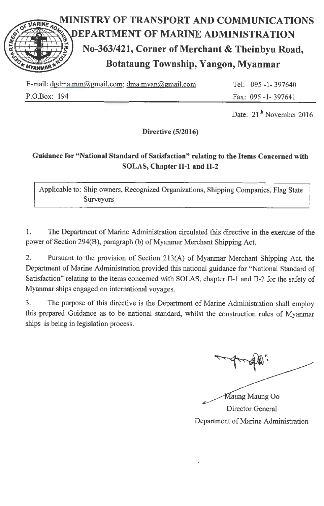

| E-mail: dgdma.mm@gmail.com; dma.myan@gmail.com | Tel: 095 -1 - 397640 |
|------------------------------------------------|----------------------|
| P.O.Box: 194                                   | Fax: 095 -1-397641   |

Date: 21<sup>th</sup> November 2016

Directive (5/2016)

# Guidance for "National Standard of Satisfaction" relating to the Items Concerned with SOLAS, Chapter II-1 and II-2

Applicable to: Ship owners, Recognized Organizations, Shipping Companies, Flag State Surveyors

1. The Department of Marine Administration circulated this directive in the exercise of the power of Section 294(B), paragraph (b) of Myanmar Merchant Shipping Act.

2. Pursuant to the provision of Section 213(A) of Myanmar Merchant Shipping Act, the Department of Marine Administration provided this national guidance for "National Standard of Satisfaction" relating to the items concerned with SOLAS, chapter II-1 and II-2 for the safety of Myanmar ships engaged on intemational voyages.

3. The purpose of this directive is the Department of Marine Administration shall employ this prepared Guidance as to be national standard, whilst the construction rules of Myanmar ships is being in legislation process.

 $\mathbf{M}$  , and the contract of  $\mathbf{M}$  , and the contract of  $\mathbf{M}$ 

Maung Maung Oo Director General Department of Marine Administration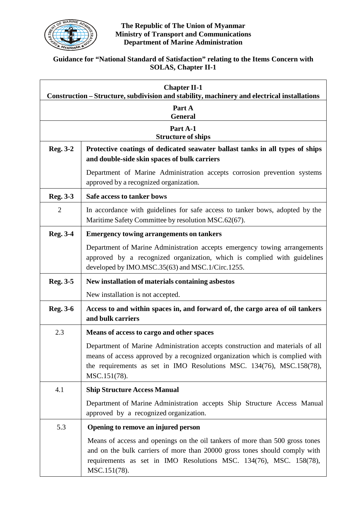

#### **The Republic of The Union of Myanmar Ministry of Transport and Communications Department of Marine Administration**

## **Guidance for "National Standard of Satisfaction" relating to the Items Concern with SOLAS, Chapter II-1**

| <b>Chapter II-1</b><br>Construction - Structure, subdivision and stability, machinery and electrical installations |                                                                                                                                                                                                                                                        |  |
|--------------------------------------------------------------------------------------------------------------------|--------------------------------------------------------------------------------------------------------------------------------------------------------------------------------------------------------------------------------------------------------|--|
| Part A                                                                                                             |                                                                                                                                                                                                                                                        |  |
| <b>General</b><br>Part A-1                                                                                         |                                                                                                                                                                                                                                                        |  |
|                                                                                                                    | <b>Structure of ships</b>                                                                                                                                                                                                                              |  |
| <b>Reg. 3-2</b>                                                                                                    | Protective coatings of dedicated seawater ballast tanks in all types of ships<br>and double-side skin spaces of bulk carriers                                                                                                                          |  |
|                                                                                                                    | Department of Marine Administration accepts corrosion prevention systems<br>approved by a recognized organization.                                                                                                                                     |  |
| Reg. 3-3                                                                                                           | Safe access to tanker bows                                                                                                                                                                                                                             |  |
| $\overline{2}$                                                                                                     | In accordance with guidelines for safe access to tanker bows, adopted by the<br>Maritime Safety Committee by resolution MSC.62(67).                                                                                                                    |  |
| <b>Reg. 3-4</b>                                                                                                    | <b>Emergency towing arrangements on tankers</b>                                                                                                                                                                                                        |  |
|                                                                                                                    | Department of Marine Administration accepts emergency towing arrangements<br>approved by a recognized organization, which is complied with guidelines<br>developed by IMO.MSC.35(63) and MSC.1/Circ.1255.                                              |  |
| Reg. 3-5                                                                                                           | New installation of materials containing asbestos                                                                                                                                                                                                      |  |
|                                                                                                                    | New installation is not accepted.                                                                                                                                                                                                                      |  |
| <b>Reg. 3-6</b>                                                                                                    | Access to and within spaces in, and forward of, the cargo area of oil tankers<br>and bulk carriers                                                                                                                                                     |  |
| 2.3                                                                                                                | Means of access to cargo and other spaces                                                                                                                                                                                                              |  |
|                                                                                                                    | Department of Marine Administration accepts construction and materials of all<br>means of access approved by a recognized organization which is complied with<br>the requirements as set in IMO Resolutions MSC. 134(76), MSC.158(78),<br>MSC.151(78). |  |
| 4.1                                                                                                                | <b>Ship Structure Access Manual</b>                                                                                                                                                                                                                    |  |
|                                                                                                                    | Department of Marine Administration accepts Ship Structure Access Manual<br>approved by a recognized organization.                                                                                                                                     |  |
| 5.3                                                                                                                | Opening to remove an injured person                                                                                                                                                                                                                    |  |
|                                                                                                                    | Means of access and openings on the oil tankers of more than 500 gross tones<br>and on the bulk carriers of more than 20000 gross tones should comply with<br>requirements as set in IMO Resolutions MSC. 134(76), MSC. 158(78),<br>MSC.151(78).       |  |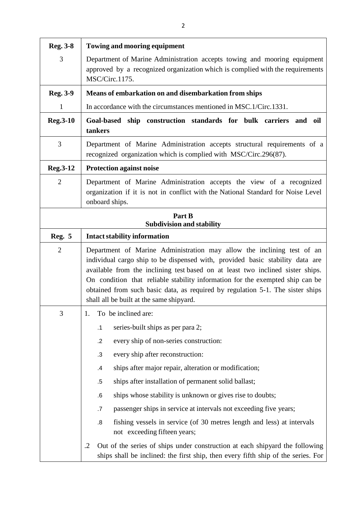| <b>Reg. 3-8</b>                            | <b>Towing and mooring equipment</b>                                                                                                                                                                                                                                                                                                                                                                                                                      |  |
|--------------------------------------------|----------------------------------------------------------------------------------------------------------------------------------------------------------------------------------------------------------------------------------------------------------------------------------------------------------------------------------------------------------------------------------------------------------------------------------------------------------|--|
| 3                                          | Department of Marine Administration accepts towing and mooring equipment<br>approved by a recognized organization which is complied with the requirements<br>MSC/Circ.1175.                                                                                                                                                                                                                                                                              |  |
| <b>Reg. 3-9</b>                            | Means of embarkation on and disembarkation from ships                                                                                                                                                                                                                                                                                                                                                                                                    |  |
| $\mathbf{1}$                               | In accordance with the circumstances mentioned in MSC.1/Circ.1331.                                                                                                                                                                                                                                                                                                                                                                                       |  |
| <b>Reg.3-10</b>                            | Goal-based ship construction standards for bulk carriers and oil<br>tankers                                                                                                                                                                                                                                                                                                                                                                              |  |
| 3                                          | Department of Marine Administration accepts structural requirements of a<br>recognized organization which is complied with MSC/Circ.296(87).                                                                                                                                                                                                                                                                                                             |  |
| <b>Reg.3-12</b>                            | <b>Protection against noise</b>                                                                                                                                                                                                                                                                                                                                                                                                                          |  |
| $\overline{2}$                             | Department of Marine Administration accepts the view of a recognized<br>organization if it is not in conflict with the National Standard for Noise Level<br>onboard ships.                                                                                                                                                                                                                                                                               |  |
| Part B<br><b>Subdivision and stability</b> |                                                                                                                                                                                                                                                                                                                                                                                                                                                          |  |
| <b>Reg. 5</b>                              | <b>Intact stability information</b>                                                                                                                                                                                                                                                                                                                                                                                                                      |  |
| $\overline{2}$                             | Department of Marine Administration may allow the inclining test of an<br>individual cargo ship to be dispensed with, provided basic stability data are<br>available from the inclining test based on at least two inclined sister ships.<br>On condition that reliable stability information for the exempted ship can be<br>obtained from such basic data, as required by regulation 5-1. The sister ships<br>shall all be built at the same shipyard. |  |
| 3                                          | To be inclined are:<br>1.                                                                                                                                                                                                                                                                                                                                                                                                                                |  |
|                                            | series-built ships as per para 2;<br>$\cdot$ 1                                                                                                                                                                                                                                                                                                                                                                                                           |  |
|                                            | every ship of non-series construction:<br>$\cdot$                                                                                                                                                                                                                                                                                                                                                                                                        |  |
|                                            | every ship after reconstruction:<br>.3                                                                                                                                                                                                                                                                                                                                                                                                                   |  |
|                                            | ships after major repair, alteration or modification;<br>.4                                                                                                                                                                                                                                                                                                                                                                                              |  |
|                                            | ships after installation of permanent solid ballast;<br>$.5\,$                                                                                                                                                                                                                                                                                                                                                                                           |  |
|                                            | ships whose stability is unknown or gives rise to doubts;<br>$.6\,$                                                                                                                                                                                                                                                                                                                                                                                      |  |
|                                            | passenger ships in service at intervals not exceeding five years;<br>$.7\,$                                                                                                                                                                                                                                                                                                                                                                              |  |
|                                            | fishing vessels in service (of 30 metres length and less) at intervals<br>8.5<br>not exceeding fifteen years;                                                                                                                                                                                                                                                                                                                                            |  |
|                                            | Out of the series of ships under construction at each shipyard the following<br>$\cdot$ .2<br>ships shall be inclined: the first ship, then every fifth ship of the series. For                                                                                                                                                                                                                                                                          |  |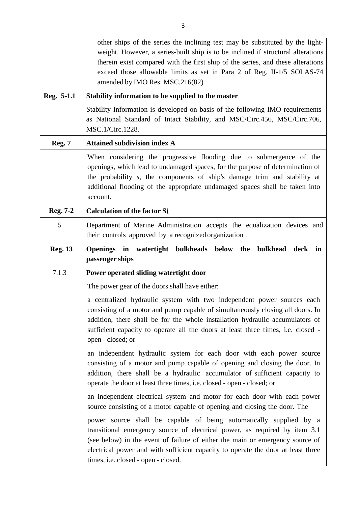|                 | other ships of the series the inclining test may be substituted by the light-<br>weight. However, a series-built ship is to be inclined if structural alterations<br>therein exist compared with the first ship of the series, and these alterations<br>exceed those allowable limits as set in Para 2 of Reg. II-1/5 SOLAS-74                               |
|-----------------|--------------------------------------------------------------------------------------------------------------------------------------------------------------------------------------------------------------------------------------------------------------------------------------------------------------------------------------------------------------|
|                 | amended by IMO Res. MSC.216(82)                                                                                                                                                                                                                                                                                                                              |
| Reg. 5-1.1      | Stability information to be supplied to the master                                                                                                                                                                                                                                                                                                           |
|                 | Stability Information is developed on basis of the following IMO requirements<br>as National Standard of Intact Stability, and MSC/Circ.456, MSC/Circ.706,<br>MSC.1/Circ.1228.                                                                                                                                                                               |
| <b>Reg. 7</b>   | <b>Attained subdivision index A</b>                                                                                                                                                                                                                                                                                                                          |
|                 | When considering the progressive flooding due to submergence of the<br>openings, which lead to undamaged spaces, for the purpose of determination of<br>the probability s, the components of ship's damage trim and stability at<br>additional flooding of the appropriate undamaged spaces shall be taken into<br>account.                                  |
| <b>Reg. 7-2</b> | <b>Calculation of the factor Si</b>                                                                                                                                                                                                                                                                                                                          |
| 5               | Department of Marine Administration accepts the equalization devices and<br>their controls approved by a recognized organization.                                                                                                                                                                                                                            |
| <b>Reg. 13</b>  | bulkheads below<br>Openings in watertight<br>the<br>bulkhead<br>deck<br>in<br>passenger ships                                                                                                                                                                                                                                                                |
| 7.1.3           | Power operated sliding watertight door                                                                                                                                                                                                                                                                                                                       |
|                 | The power gear of the doors shall have either:                                                                                                                                                                                                                                                                                                               |
|                 | a centralized hydraulic system with two independent power sources each<br>consisting of a motor and pump capable of simultaneously closing all doors. In<br>addition, there shall be for the whole installation hydraulic accumulators of<br>sufficient capacity to operate all the doors at least three times, i.e. closed -<br>open - closed; or           |
|                 | an independent hydraulic system for each door with each power source<br>consisting of a motor and pump capable of opening and closing the door. In<br>addition, there shall be a hydraulic accumulator of sufficient capacity to<br>operate the door at least three times, i.e. closed - open - closed; or                                                   |
|                 | an independent electrical system and motor for each door with each power<br>source consisting of a motor capable of opening and closing the door. The                                                                                                                                                                                                        |
|                 | power source shall be capable of being automatically supplied by a<br>transitional emergency source of electrical power, as required by item 3.1<br>(see below) in the event of failure of either the main or emergency source of<br>electrical power and with sufficient capacity to operate the door at least three<br>times, i.e. closed - open - closed. |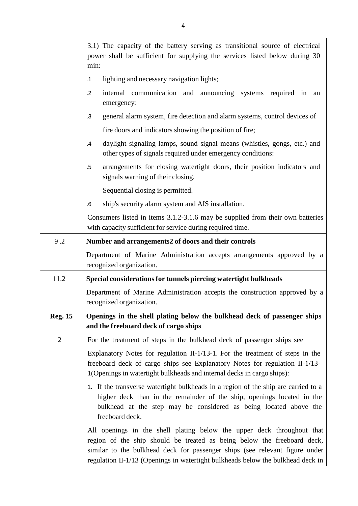|                | 3.1) The capacity of the battery serving as transitional source of electrical<br>power shall be sufficient for supplying the services listed below during 30<br>min:                                                                                                                                                |
|----------------|---------------------------------------------------------------------------------------------------------------------------------------------------------------------------------------------------------------------------------------------------------------------------------------------------------------------|
|                | lighting and necessary navigation lights;<br>$\cdot$ 1                                                                                                                                                                                                                                                              |
|                | internal communication and announcing systems required in<br>$\cdot$ .2<br>an<br>emergency:                                                                                                                                                                                                                         |
|                | general alarm system, fire detection and alarm systems, control devices of<br>$\cdot$ 3                                                                                                                                                                                                                             |
|                | fire doors and indicators showing the position of fire;                                                                                                                                                                                                                                                             |
|                | daylight signaling lamps, sound signal means (whistles, gongs, etc.) and<br>.4<br>other types of signals required under emergency conditions:                                                                                                                                                                       |
|                | arrangements for closing watertight doors, their position indicators and<br>$.5\,$<br>signals warning of their closing.                                                                                                                                                                                             |
|                | Sequential closing is permitted.                                                                                                                                                                                                                                                                                    |
|                | ship's security alarm system and AIS installation.<br>.6                                                                                                                                                                                                                                                            |
|                | Consumers listed in items 3.1.2-3.1.6 may be supplied from their own batteries<br>with capacity sufficient for service during required time.                                                                                                                                                                        |
| 9.2            | Number and arrangements2 of doors and their controls                                                                                                                                                                                                                                                                |
|                | Department of Marine Administration accepts arrangements approved by a<br>recognized organization.                                                                                                                                                                                                                  |
| 11.2           | Special considerations for tunnels piercing watertight bulkheads                                                                                                                                                                                                                                                    |
|                | Department of Marine Administration accepts the construction approved by a<br>recognized organization.                                                                                                                                                                                                              |
| <b>Reg. 15</b> | Openings in the shell plating below the bulkhead deck of passenger ships<br>and the freeboard deck of cargo ships                                                                                                                                                                                                   |
| $\overline{2}$ | For the treatment of steps in the bulkhead deck of passenger ships see                                                                                                                                                                                                                                              |
|                | Explanatory Notes for regulation II-1/13-1. For the treatment of steps in the<br>freeboard deck of cargo ships see Explanatory Notes for regulation II-1/13-<br>1(Openings in watertight bulkheads and internal decks in cargo ships):                                                                              |
|                | 1. If the transverse watertight bulkheads in a region of the ship are carried to a<br>higher deck than in the remainder of the ship, openings located in the<br>bulkhead at the step may be considered as being located above the<br>freeboard deck.                                                                |
|                | All openings in the shell plating below the upper deck throughout that<br>region of the ship should be treated as being below the freeboard deck,<br>similar to the bulkhead deck for passenger ships (see relevant figure under<br>regulation II-1/13 (Openings in watertight bulkheads below the bulkhead deck in |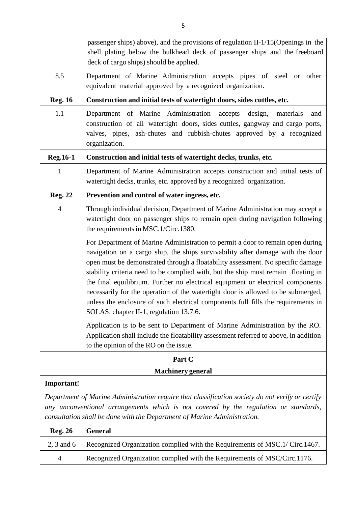|                                                                                                                                                                                                                                                                                           | passenger ships) above), and the provisions of regulation II-1/15 (Openings in the<br>shell plating below the bulkhead deck of passenger ships and the freeboard<br>deck of cargo ships) should be applied.                                                                                                                                                                                                                                                                                                                                                                                                                                     |
|-------------------------------------------------------------------------------------------------------------------------------------------------------------------------------------------------------------------------------------------------------------------------------------------|-------------------------------------------------------------------------------------------------------------------------------------------------------------------------------------------------------------------------------------------------------------------------------------------------------------------------------------------------------------------------------------------------------------------------------------------------------------------------------------------------------------------------------------------------------------------------------------------------------------------------------------------------|
| 8.5                                                                                                                                                                                                                                                                                       | Department of Marine Administration accepts pipes of steel or<br>other<br>equivalent material approved by a recognized organization.                                                                                                                                                                                                                                                                                                                                                                                                                                                                                                            |
| <b>Reg. 16</b>                                                                                                                                                                                                                                                                            | Construction and initial tests of watertight doors, sides cuttles, etc.                                                                                                                                                                                                                                                                                                                                                                                                                                                                                                                                                                         |
| 1.1                                                                                                                                                                                                                                                                                       | Department of Marine Administration accepts<br>design,<br>materials<br>and<br>construction of all watertight doors, sides cuttles, gangway and cargo ports,<br>valves, pipes, ash-chutes and rubbish-chutes approved by a recognized<br>organization.                                                                                                                                                                                                                                                                                                                                                                                           |
| <b>Reg.16-1</b>                                                                                                                                                                                                                                                                           | Construction and initial tests of watertight decks, trunks, etc.                                                                                                                                                                                                                                                                                                                                                                                                                                                                                                                                                                                |
| 1                                                                                                                                                                                                                                                                                         | Department of Marine Administration accepts construction and initial tests of<br>watertight decks, trunks, etc. approved by a recognized organization.                                                                                                                                                                                                                                                                                                                                                                                                                                                                                          |
| <b>Reg. 22</b>                                                                                                                                                                                                                                                                            | Prevention and control of water ingress, etc.                                                                                                                                                                                                                                                                                                                                                                                                                                                                                                                                                                                                   |
| $\overline{4}$                                                                                                                                                                                                                                                                            | Through individual decision, Department of Marine Administration may accept a<br>watertight door on passenger ships to remain open during navigation following<br>the requirements in MSC.1/Circ.1380.                                                                                                                                                                                                                                                                                                                                                                                                                                          |
|                                                                                                                                                                                                                                                                                           | For Department of Marine Administration to permit a door to remain open during<br>navigation on a cargo ship, the ships survivability after damage with the door<br>open must be demonstrated through a floatability assessment. No specific damage<br>stability criteria need to be complied with, but the ship must remain floating in<br>the final equilibrium. Further no electrical equipment or electrical components<br>necessarily for the operation of the watertight door is allowed to be submerged,<br>unless the enclosure of such electrical components full fills the requirements in<br>SOLAS, chapter II-1, regulation 13.7.6. |
|                                                                                                                                                                                                                                                                                           | Application is to be sent to Department of Marine Administration by the RO.<br>Application shall include the floatability assessment referred to above, in addition<br>to the opinion of the RO on the issue.                                                                                                                                                                                                                                                                                                                                                                                                                                   |
|                                                                                                                                                                                                                                                                                           | Part C                                                                                                                                                                                                                                                                                                                                                                                                                                                                                                                                                                                                                                          |
| <b>Machinery</b> general                                                                                                                                                                                                                                                                  |                                                                                                                                                                                                                                                                                                                                                                                                                                                                                                                                                                                                                                                 |
| <b>Important!</b><br>Department of Marine Administration require that classification society do not verify or certify<br>any unconventional arrangements which is not covered by the regulation or standards,<br>consultation shall be done with the Department of Marine Administration. |                                                                                                                                                                                                                                                                                                                                                                                                                                                                                                                                                                                                                                                 |
| <b>Reg. 26</b>                                                                                                                                                                                                                                                                            | <b>General</b>                                                                                                                                                                                                                                                                                                                                                                                                                                                                                                                                                                                                                                  |
| $2, 3$ and 6                                                                                                                                                                                                                                                                              | Recognized Organization complied with the Requirements of MSC.1/ Circ.1467.                                                                                                                                                                                                                                                                                                                                                                                                                                                                                                                                                                     |
| 4                                                                                                                                                                                                                                                                                         | Recognized Organization complied with the Requirements of MSC/Circ.1176.                                                                                                                                                                                                                                                                                                                                                                                                                                                                                                                                                                        |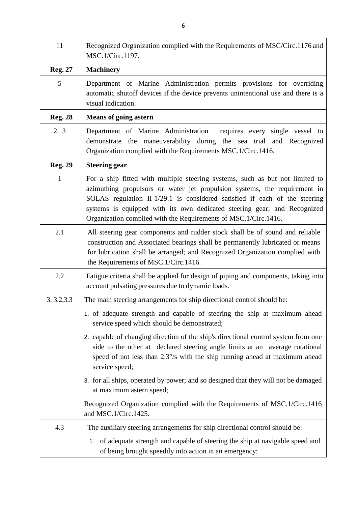| 11             | Recognized Organization complied with the Requirements of MSC/Circ.1176 and<br>MSC.1/Circ.1197.                                                                                                                                                                                                                                                                                        |
|----------------|----------------------------------------------------------------------------------------------------------------------------------------------------------------------------------------------------------------------------------------------------------------------------------------------------------------------------------------------------------------------------------------|
| <b>Reg. 27</b> | <b>Machinery</b>                                                                                                                                                                                                                                                                                                                                                                       |
| 5              | Department of Marine Administration permits provisions for overriding<br>automatic shutoff devices if the device prevents unintentional use and there is a<br>visual indication.                                                                                                                                                                                                       |
| <b>Reg. 28</b> | <b>Means of going astern</b>                                                                                                                                                                                                                                                                                                                                                           |
| 2, 3           | Department of Marine Administration<br>requires every single vessel to<br>demonstrate the maneuverability during the sea trial and Recognized<br>Organization complied with the Requirements MSC.1/Circ.1416.                                                                                                                                                                          |
| <b>Reg. 29</b> | <b>Steering gear</b>                                                                                                                                                                                                                                                                                                                                                                   |
| $\mathbf{1}$   | For a ship fitted with multiple steering systems, such as but not limited to<br>azimuthing propulsors or water jet propulsion systems, the requirement in<br>SOLAS regulation II-1/29.1 is considered satisfied if each of the steering<br>systems is equipped with its own dedicated steering gear; and Recognized<br>Organization complied with the Requirements of MSC.1/Circ.1416. |
| 2.1            | All steering gear components and rudder stock shall be of sound and reliable<br>construction and Associated bearings shall be permanently lubricated or means<br>for lubrication shall be arranged; and Recognized Organization complied with<br>the Requirements of MSC.1/Circ.1416.                                                                                                  |
| 2.2            | Fatigue criteria shall be applied for design of piping and components, taking into<br>account pulsating pressures due to dynamic loads.                                                                                                                                                                                                                                                |
| 3, 3.2, 3.3    | The main steering arrangements for ship directional control should be:                                                                                                                                                                                                                                                                                                                 |
|                | 1. of adequate strength and capable of steering the ship at maximum ahead<br>service speed which should be demonstrated;                                                                                                                                                                                                                                                               |
|                | 2. capable of changing direction of the ship's directional control system from one<br>side to the other at declared steering angle limits at an average rotational<br>speed of not less than 2.3°/s with the ship running ahead at maximum ahead<br>service speed;                                                                                                                     |
|                | 3. for all ships, operated by power; and so designed that they will not be damaged<br>at maximum astern speed;                                                                                                                                                                                                                                                                         |
|                | Recognized Organization complied with the Requirements of MSC.1/Circ.1416<br>and MSC.1/Circ.1425.                                                                                                                                                                                                                                                                                      |
| 4.3            | The auxiliary steering arrangements for ship directional control should be:                                                                                                                                                                                                                                                                                                            |
|                | 1. of adequate strength and capable of steering the ship at navigable speed and<br>of being brought speedily into action in an emergency;                                                                                                                                                                                                                                              |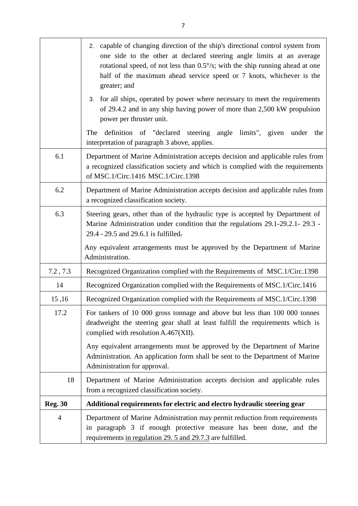|                | 2. capable of changing direction of the ship's directional control system from<br>one side to the other at declared steering angle limits at an average<br>rotational speed, of not less than $0.5\%$ ; with the ship running ahead at one<br>half of the maximum ahead service speed or 7 knots, whichever is the<br>greater; and |
|----------------|------------------------------------------------------------------------------------------------------------------------------------------------------------------------------------------------------------------------------------------------------------------------------------------------------------------------------------|
|                | 3. for all ships, operated by power where necessary to meet the requirements<br>of 29.4.2 and in any ship having power of more than 2,500 kW propulsion<br>power per thruster unit.                                                                                                                                                |
|                | definition of "declared steering angle limits", given under the<br>The<br>interpretation of paragraph 3 above, applies.                                                                                                                                                                                                            |
| 6.1            | Department of Marine Administration accepts decision and applicable rules from<br>a recognized classification society and which is complied with the requirements<br>of MSC.1/Circ.1416 MSC.1/Circ.1398                                                                                                                            |
| 6.2            | Department of Marine Administration accepts decision and applicable rules from<br>a recognized classification society.                                                                                                                                                                                                             |
| 6.3            | Steering gears, other than of the hydraulic type is accepted by Department of<br>Marine Administration under condition that the regulations 29.1-29.2.1-29.3 -<br>29.4 - 29.5 and 29.6.1 is fulfilled.                                                                                                                             |
|                | Any equivalent arrangements must be approved by the Department of Marine<br>Administration.                                                                                                                                                                                                                                        |
| 7.2, 7.3       | Recognized Organization complied with the Requirements of MSC.1/Circ.1398                                                                                                                                                                                                                                                          |
| 14             | Recognized Organization complied with the Requirements of MSC.1/Circ.1416                                                                                                                                                                                                                                                          |
| 15,16          | Recognized Organization complied with the Requirements of MSC.1/Circ.1398                                                                                                                                                                                                                                                          |
| 17.2           | For tankers of 10 000 gross tonnage and above but less than 100 000 tonnes<br>deadweight the steering gear shall at least fulfill the requirements which is<br>complied with resolution A.467(XII).                                                                                                                                |
|                | Any equivalent arrangements must be approved by the Department of Marine<br>Administration. An application form shall be sent to the Department of Marine<br>Administration for approval.                                                                                                                                          |
| 18             | Department of Marine Administration accepts decision and applicable rules<br>from a recognized classification society.                                                                                                                                                                                                             |
| <b>Reg. 30</b> | Additional requirements for electric and electro hydraulic steering gear                                                                                                                                                                                                                                                           |
| $\overline{4}$ | Department of Marine Administration may permit reduction from requirements<br>in paragraph 3 if enough protective measure has been done, and the<br>requirements in regulation 29. 5 and 29.7.3 are fulfilled.                                                                                                                     |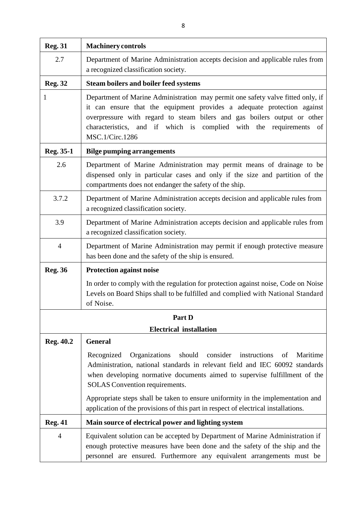| <b>Reg. 31</b> | <b>Machinery controls</b>                                                                                                                                                                                                                                                                                                            |
|----------------|--------------------------------------------------------------------------------------------------------------------------------------------------------------------------------------------------------------------------------------------------------------------------------------------------------------------------------------|
| 2.7            | Department of Marine Administration accepts decision and applicable rules from<br>a recognized classification society.                                                                                                                                                                                                               |
| <b>Reg. 32</b> | <b>Steam boilers and boiler feed systems</b>                                                                                                                                                                                                                                                                                         |
| 1              | Department of Marine Administration may permit one safety valve fitted only, if<br>it can ensure that the equipment provides a adequate protection against<br>overpressure with regard to steam bilers and gas boilers output or other<br>characteristics, and if which is complied with the requirements<br>- of<br>MSC.1/Circ.1286 |
| Reg. 35-1      | <b>Bilge pumping arrangements</b>                                                                                                                                                                                                                                                                                                    |
| 2.6            | Department of Marine Administration may permit means of drainage to be<br>dispensed only in particular cases and only if the size and partition of the<br>compartments does not endanger the safety of the ship.                                                                                                                     |
| 3.7.2          | Department of Marine Administration accepts decision and applicable rules from<br>a recognized classification society.                                                                                                                                                                                                               |
| 3.9            | Department of Marine Administration accepts decision and applicable rules from<br>a recognized classification society.                                                                                                                                                                                                               |
| $\overline{4}$ | Department of Marine Administration may permit if enough protective measure<br>has been done and the safety of the ship is ensured.                                                                                                                                                                                                  |
| <b>Reg. 36</b> | <b>Protection against noise</b>                                                                                                                                                                                                                                                                                                      |
|                | In order to comply with the regulation for protection against noise, Code on Noise<br>Levels on Board Ships shall to be fulfilled and complied with National Standard<br>of Noise.                                                                                                                                                   |
|                | Part D                                                                                                                                                                                                                                                                                                                               |
|                | <b>Electrical installation</b>                                                                                                                                                                                                                                                                                                       |
| Reg. 40.2      | <b>General</b>                                                                                                                                                                                                                                                                                                                       |
|                | should<br>consider<br>Maritime<br>Recognized<br>Organizations<br>instructions<br>of<br>Administration, national standards in relevant field and IEC 60092 standards<br>when developing normative documents aimed to supervise fulfillment of the<br>SOLAS Convention requirements.                                                   |
|                | Appropriate steps shall be taken to ensure uniformity in the implementation and<br>application of the provisions of this part in respect of electrical installations.                                                                                                                                                                |
| <b>Reg. 41</b> | Main source of electrical power and lighting system                                                                                                                                                                                                                                                                                  |
| $\overline{4}$ | Equivalent solution can be accepted by Department of Marine Administration if<br>enough protective measures have been done and the safety of the ship and the<br>personnel are ensured. Furthermore any equivalent arrangements must be                                                                                              |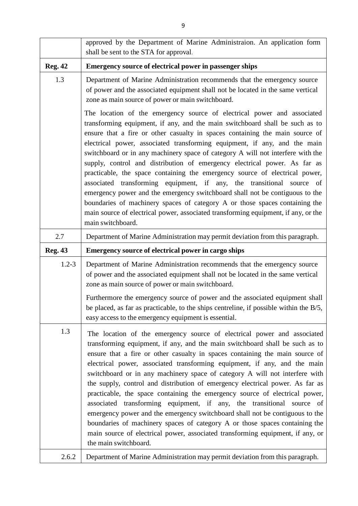|                | approved by the Department of Marine Administraion. An application form<br>shall be sent to the STA for approval.                                                                                                                                                                                                                                                                                                                                                                                                                                                                                                                                                                                                                                                                                                                                                                                                      |
|----------------|------------------------------------------------------------------------------------------------------------------------------------------------------------------------------------------------------------------------------------------------------------------------------------------------------------------------------------------------------------------------------------------------------------------------------------------------------------------------------------------------------------------------------------------------------------------------------------------------------------------------------------------------------------------------------------------------------------------------------------------------------------------------------------------------------------------------------------------------------------------------------------------------------------------------|
| <b>Reg. 42</b> | <b>Emergency source of electrical power in passenger ships</b>                                                                                                                                                                                                                                                                                                                                                                                                                                                                                                                                                                                                                                                                                                                                                                                                                                                         |
| 1.3            | Department of Marine Administration recommends that the emergency source<br>of power and the associated equipment shall not be located in the same vertical<br>zone as main source of power or main switchboard.                                                                                                                                                                                                                                                                                                                                                                                                                                                                                                                                                                                                                                                                                                       |
|                | The location of the emergency source of electrical power and associated<br>transforming equipment, if any, and the main switchboard shall be such as to<br>ensure that a fire or other casualty in spaces containing the main source of<br>electrical power, associated transforming equipment, if any, and the main<br>switchboard or in any machinery space of category A will not interfere with the<br>supply, control and distribution of emergency electrical power. As far as<br>practicable, the space containing the emergency source of electrical power,<br>associated transforming equipment, if any, the transitional source of<br>emergency power and the emergency switchboard shall not be contiguous to the<br>boundaries of machinery spaces of category A or those spaces containing the<br>main source of electrical power, associated transforming equipment, if any, or the<br>main switchboard. |
| 2.7            | Department of Marine Administration may permit deviation from this paragraph.                                                                                                                                                                                                                                                                                                                                                                                                                                                                                                                                                                                                                                                                                                                                                                                                                                          |
| <b>Reg. 43</b> | Emergency source of electrical power in cargo ships                                                                                                                                                                                                                                                                                                                                                                                                                                                                                                                                                                                                                                                                                                                                                                                                                                                                    |
| $1.2 - 3$      | Department of Marine Administration recommends that the emergency source<br>of power and the associated equipment shall not be located in the same vertical<br>zone as main source of power or main switchboard.<br>Furthermore the emergency source of power and the associated equipment shall<br>be placed, as far as practicable, to the ships centreline, if possible within the B/5,<br>easy access to the emergency equipment is essential.                                                                                                                                                                                                                                                                                                                                                                                                                                                                     |
| 1.3            | The location of the emergency source of electrical power and associated<br>transforming equipment, if any, and the main switchboard shall be such as to<br>ensure that a fire or other casualty in spaces containing the main source of<br>electrical power, associated transforming equipment, if any, and the main<br>switchboard or in any machinery space of category A will not interfere with<br>the supply, control and distribution of emergency electrical power. As far as<br>practicable, the space containing the emergency source of electrical power,<br>associated transforming equipment, if any, the transitional source of<br>emergency power and the emergency switchboard shall not be contiguous to the<br>boundaries of machinery spaces of category A or those spaces containing the<br>main source of electrical power, associated transforming equipment, if any, or<br>the main switchboard. |
| 2.6.2          | Department of Marine Administration may permit deviation from this paragraph.                                                                                                                                                                                                                                                                                                                                                                                                                                                                                                                                                                                                                                                                                                                                                                                                                                          |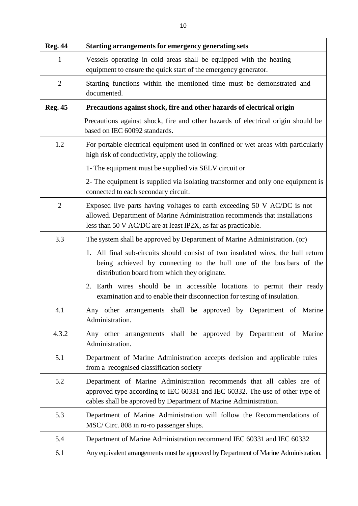| <b>Reg. 44</b> | <b>Starting arrangements for emergency generating sets</b>                                                                                                                                                                |
|----------------|---------------------------------------------------------------------------------------------------------------------------------------------------------------------------------------------------------------------------|
| 1              | Vessels operating in cold areas shall be equipped with the heating<br>equipment to ensure the quick start of the emergency generator.                                                                                     |
| $\overline{2}$ | Starting functions within the mentioned time must be demonstrated and<br>documented.                                                                                                                                      |
| <b>Reg. 45</b> | Precautions against shock, fire and other hazards of electrical origin                                                                                                                                                    |
|                | Precautions against shock, fire and other hazards of electrical origin should be<br>based on IEC 60092 standards.                                                                                                         |
| 1.2            | For portable electrical equipment used in confined or wet areas with particularly<br>high risk of conductivity, apply the following:                                                                                      |
|                | 1- The equipment must be supplied via SELV circuit or                                                                                                                                                                     |
|                | 2- The equipment is supplied via isolating transformer and only one equipment is<br>connected to each secondary circuit.                                                                                                  |
| $\overline{2}$ | Exposed live parts having voltages to earth exceeding 50 V AC/DC is not<br>allowed. Department of Marine Administration recommends that installations<br>less than 50 V AC/DC are at least IP2X, as far as practicable.   |
| 3.3            | The system shall be approved by Department of Marine Administration. (or)                                                                                                                                                 |
|                | 1. All final sub-circuits should consist of two insulated wires, the hull return<br>being achieved by connecting to the hull one of the bus bars of the<br>distribution board from which they originate.                  |
|                | Earth wires should be in accessible locations to permit their ready<br>2.<br>examination and to enable their disconnection for testing of insulation.                                                                     |
| 4.1            | Any other arrangements shall be approved by Department of Marine<br>Administration.                                                                                                                                       |
| 4.3.2          | Any other arrangements shall be approved by Department of Marine<br>Administration.                                                                                                                                       |
| 5.1            | Department of Marine Administration accepts decision and applicable rules<br>from a recognised classification society                                                                                                     |
| 5.2            | Department of Marine Administration recommends that all cables are of<br>approved type according to IEC 60331 and IEC 60332. The use of other type of<br>cables shall be approved by Department of Marine Administration. |
| 5.3            | Department of Marine Administration will follow the Recommendations of<br>MSC/Circ. 808 in ro-ro passenger ships.                                                                                                         |
| 5.4            | Department of Marine Administration recommend IEC 60331 and IEC 60332                                                                                                                                                     |
| 6.1            | Any equivalent arrangements must be approved by Department of Marine Administration.                                                                                                                                      |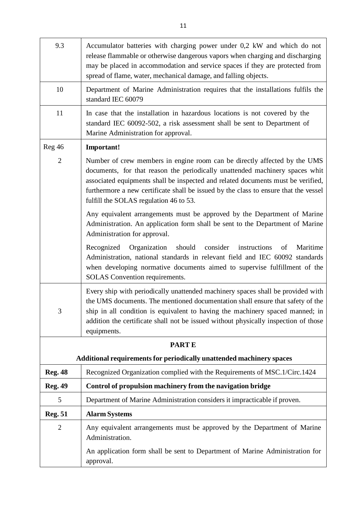| 9.3            | Accumulator batteries with charging power under 0,2 kW and which do not<br>release flammable or otherwise dangerous vapors when charging and discharging<br>may be placed in accommodation and service spaces if they are protected from<br>spread of flame, water, mechanical damage, and falling objects.                                                                     |  |
|----------------|---------------------------------------------------------------------------------------------------------------------------------------------------------------------------------------------------------------------------------------------------------------------------------------------------------------------------------------------------------------------------------|--|
| 10             | Department of Marine Administration requires that the installations fulfils the<br>standard IEC 60079                                                                                                                                                                                                                                                                           |  |
| 11             | In case that the installation in hazardous locations is not covered by the<br>standard IEC 60092-502, a risk assessment shall be sent to Department of<br>Marine Administration for approval.                                                                                                                                                                                   |  |
| Reg46          | Important!                                                                                                                                                                                                                                                                                                                                                                      |  |
| $\overline{2}$ | Number of crew members in engine room can be directly affected by the UMS<br>documents, for that reason the periodically unattended machinery spaces whit<br>associated equipments shall be inspected and related documents must be verified,<br>furthermore a new certificate shall be issued by the class to ensure that the vessel<br>fulfill the SOLAS regulation 46 to 53. |  |
|                | Any equivalent arrangements must be approved by the Department of Marine<br>Administration. An application form shall be sent to the Department of Marine<br>Administration for approval.                                                                                                                                                                                       |  |
|                | Organization should<br>Recognized<br>consider instructions<br>Maritime<br>of<br>Administration, national standards in relevant field and IEC 60092 standards<br>when developing normative documents aimed to supervise fulfillment of the<br><b>SOLAS</b> Convention requirements.                                                                                              |  |
| 3              | Every ship with periodically unattended machinery spaces shall be provided with<br>the UMS documents. The mentioned documentation shall ensure that safety of the<br>ship in all condition is equivalent to having the machinery spaced manned; in<br>addition the certificate shall not be issued without physically inspection of those<br>equipments.                        |  |
| <b>PARTE</b>   |                                                                                                                                                                                                                                                                                                                                                                                 |  |
|                | Additional requirements for periodically unattended machinery spaces                                                                                                                                                                                                                                                                                                            |  |
| <b>Reg. 48</b> | Recognized Organization complied with the Requirements of MSC.1/Circ.1424                                                                                                                                                                                                                                                                                                       |  |
| <b>Reg. 49</b> | Control of propulsion machinery from the navigation bridge                                                                                                                                                                                                                                                                                                                      |  |
| 5              | Department of Marine Administration considers it impracticable if proven.                                                                                                                                                                                                                                                                                                       |  |
| <b>Reg. 51</b> | <b>Alarm Systems</b>                                                                                                                                                                                                                                                                                                                                                            |  |
| $\overline{2}$ | Any equivalent arrangements must be approved by the Department of Marine<br>Administration.                                                                                                                                                                                                                                                                                     |  |
|                | An application form shall be sent to Department of Marine Administration for<br>approval.                                                                                                                                                                                                                                                                                       |  |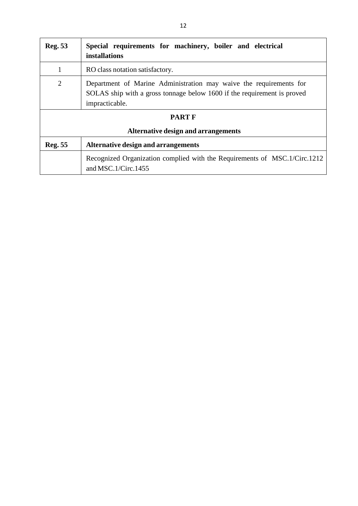| <b>Reg. 53</b>                                       | Special requirements for machinery, boiler and electrical<br><b>installations</b>                                                                               |
|------------------------------------------------------|-----------------------------------------------------------------------------------------------------------------------------------------------------------------|
| 1                                                    | RO class notation satisfactory.                                                                                                                                 |
| $\overline{2}$                                       | Department of Marine Administration may waive the requirements for<br>SOLAS ship with a gross tonnage below 1600 if the requirement is proved<br>impracticable. |
| <b>PART F</b><br>Alternative design and arrangements |                                                                                                                                                                 |
| <b>Reg. 55</b>                                       | Alternative design and arrangements                                                                                                                             |
|                                                      | Recognized Organization complied with the Requirements of MSC.1/Circ.1212<br>and MSC.1/Circ.1455                                                                |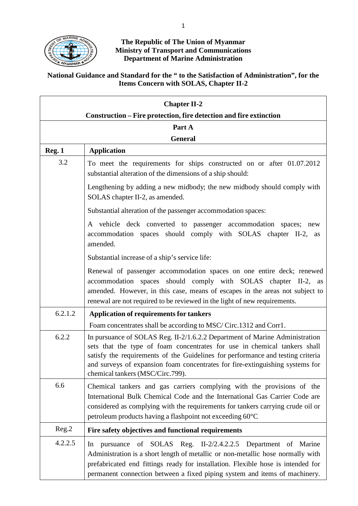

#### **The Republic of The Union of Myanmar Ministry of Transport and Communications Department of Marine Administration**

### **National Guidance and Standard for the " to the Satisfaction of Administration", for the Items Concern with SOLAS, Chapter II-2**

| <b>Chapter II-2</b> |                                                                                                                                                                                                                                                                                                                                                                  |
|---------------------|------------------------------------------------------------------------------------------------------------------------------------------------------------------------------------------------------------------------------------------------------------------------------------------------------------------------------------------------------------------|
|                     | Construction – Fire protection, fire detection and fire extinction                                                                                                                                                                                                                                                                                               |
|                     | Part A<br><b>General</b>                                                                                                                                                                                                                                                                                                                                         |
| Reg. 1              | <b>Application</b>                                                                                                                                                                                                                                                                                                                                               |
| 3.2                 | To meet the requirements for ships constructed on or after 01.07.2012<br>substantial alteration of the dimensions of a ship should:                                                                                                                                                                                                                              |
|                     | Lengthening by adding a new midbody; the new midbody should comply with<br>SOLAS chapter II-2, as amended.                                                                                                                                                                                                                                                       |
|                     | Substantial alteration of the passenger accommodation spaces:                                                                                                                                                                                                                                                                                                    |
|                     | A vehicle deck converted to passenger accommodation spaces; new<br>accommodation spaces should comply with SOLAS chapter II-2, as<br>amended.                                                                                                                                                                                                                    |
|                     | Substantial increase of a ship's service life:                                                                                                                                                                                                                                                                                                                   |
|                     | Renewal of passenger accommodation spaces on one entire deck; renewed<br>accommodation spaces should comply with SOLAS chapter II-2, as<br>amended. However, in this case, means of escapes in the areas not subject to<br>renewal are not required to be reviewed in the light of new requirements.                                                             |
| 6.2.1.2             | <b>Application of requirements for tankers</b>                                                                                                                                                                                                                                                                                                                   |
|                     | Foam concentrates shall be according to MSC/Circ.1312 and Corr1.                                                                                                                                                                                                                                                                                                 |
| 6.2.2               | In pursuance of SOLAS Reg. II-2/1.6.2.2 Department of Marine Administration<br>sets that the type of foam concentrates for use in chemical tankers shall<br>satisfy the requirements of the Guidelines for performance and testing criteria<br>and surveys of expansion foam concentrates for fire-extinguishing systems for<br>chemical tankers (MSC/Circ.799). |
| 6.6                 | Chemical tankers and gas carriers complying with the provisions of the<br>International Bulk Chemical Code and the International Gas Carrier Code are<br>considered as complying with the requirements for tankers carrying crude oil or<br>petroleum products having a flashpoint not exceeding 60°C                                                            |
| Reg.2               | Fire safety objectives and functional requirements                                                                                                                                                                                                                                                                                                               |
| 4.2.2.5             | of SOLAS Reg. II-2/2.4.2.2.5 Department of Marine<br>pursuance<br>In<br>Administration is a short length of metallic or non-metallic hose normally with<br>prefabricated end fittings ready for installation. Flexible hose is intended for<br>permanent connection between a fixed piping system and items of machinery.                                        |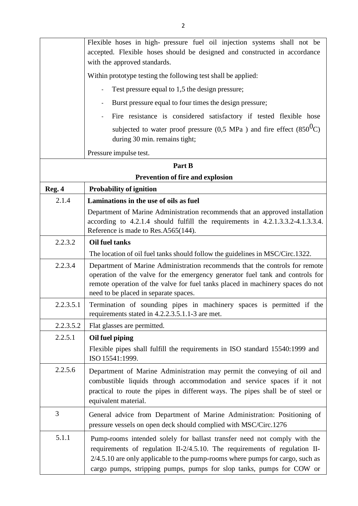|           | Flexible hoses in high- pressure fuel oil injection systems shall not be<br>accepted. Flexible hoses should be designed and constructed in accordance<br>with the approved standards.                                                                                                                             |
|-----------|-------------------------------------------------------------------------------------------------------------------------------------------------------------------------------------------------------------------------------------------------------------------------------------------------------------------|
|           | Within prototype testing the following test shall be applied:                                                                                                                                                                                                                                                     |
|           | Test pressure equal to 1,5 the design pressure;<br>$\overline{\phantom{0}}$                                                                                                                                                                                                                                       |
|           | Burst pressure equal to four times the design pressure;                                                                                                                                                                                                                                                           |
|           | Fire resistance is considered satisfactory if tested flexible hose<br>$\overline{\phantom{0}}$                                                                                                                                                                                                                    |
|           | subjected to water proof pressure $(0.5 \text{ MPa})$ and fire effect $(850^0\text{C})$<br>during 30 min. remains tight;                                                                                                                                                                                          |
|           | Pressure impulse test.                                                                                                                                                                                                                                                                                            |
|           | Part B                                                                                                                                                                                                                                                                                                            |
|           | <b>Prevention of fire and explosion</b>                                                                                                                                                                                                                                                                           |
| Reg. 4    | <b>Probability of ignition</b>                                                                                                                                                                                                                                                                                    |
| 2.1.4     | Laminations in the use of oils as fuel                                                                                                                                                                                                                                                                            |
|           | Department of Marine Administration recommends that an approved installation<br>according to 4.2.1.4 should fulfill the requirements in 4.2.1.3.3.2-4.1.3.3.4.<br>Reference is made to Res.A565(144).                                                                                                             |
| 2.2.3.2   | <b>Oil fuel tanks</b>                                                                                                                                                                                                                                                                                             |
|           | The location of oil fuel tanks should follow the guidelines in MSC/Circ.1322.                                                                                                                                                                                                                                     |
| 2.2.3.4   | Department of Marine Administration recommends that the controls for remote<br>operation of the valve for the emergency generator fuel tank and controls for<br>remote operation of the valve for fuel tanks placed in machinery spaces do not<br>need to be placed in separate spaces.                           |
| 2.2.3.5.1 | Termination of sounding pipes in machinery spaces is permitted if the<br>requirements stated in 4.2.2.3.5.1.1-3 are met.                                                                                                                                                                                          |
| 2.2.3.5.2 | Flat glasses are permitted.                                                                                                                                                                                                                                                                                       |
| 2.2.5.1   | Oil fuel piping                                                                                                                                                                                                                                                                                                   |
|           | Flexible pipes shall fulfill the requirements in ISO standard 15540:1999 and<br>ISO 15541:1999.                                                                                                                                                                                                                   |
| 2.2.5.6   | Department of Marine Administration may permit the conveying of oil and<br>combustible liquids through accommodation and service spaces if it not<br>practical to route the pipes in different ways. The pipes shall be of steel or<br>equivalent material.                                                       |
| 3         | General advice from Department of Marine Administration: Positioning of<br>pressure vessels on open deck should complied with MSC/Circ.1276                                                                                                                                                                       |
| 5.1.1     | Pump-rooms intended solely for ballast transfer need not comply with the<br>requirements of regulation II-2/4.5.10. The requirements of regulation II-<br>$2/4.5.10$ are only applicable to the pump-rooms where pumps for cargo, such as<br>cargo pumps, stripping pumps, pumps for slop tanks, pumps for COW or |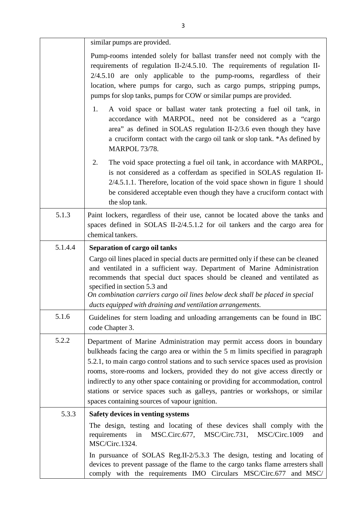|         | similar pumps are provided.                                                                                                                                                                                                                                                                                                                                                                                                                                                                                                                            |
|---------|--------------------------------------------------------------------------------------------------------------------------------------------------------------------------------------------------------------------------------------------------------------------------------------------------------------------------------------------------------------------------------------------------------------------------------------------------------------------------------------------------------------------------------------------------------|
|         | Pump-rooms intended solely for ballast transfer need not comply with the<br>requirements of regulation II-2/4.5.10. The requirements of regulation II-<br>$2/4.5.10$ are only applicable to the pump-rooms, regardless of their<br>location, where pumps for cargo, such as cargo pumps, stripping pumps,<br>pumps for slop tanks, pumps for COW or similar pumps are provided.                                                                                                                                                                        |
|         | A void space or ballast water tank protecting a fuel oil tank, in<br>1.<br>accordance with MARPOL, need not be considered as a "cargo<br>area" as defined in SOLAS regulation II-2/3.6 even though they have<br>a cruciform contact with the cargo oil tank or slop tank. *As defined by<br><b>MARPOL 73/78.</b>                                                                                                                                                                                                                                       |
|         | 2.<br>The void space protecting a fuel oil tank, in accordance with MARPOL,<br>is not considered as a cofferdam as specified in SOLAS regulation II-<br>$2/4.5.1.1$ . Therefore, location of the void space shown in figure 1 should<br>be considered acceptable even though they have a cruciform contact with<br>the slop tank.                                                                                                                                                                                                                      |
| 5.1.3   | Paint lockers, regardless of their use, cannot be located above the tanks and<br>spaces defined in SOLAS II-2/4.5.1.2 for oil tankers and the cargo area for<br>chemical tankers.                                                                                                                                                                                                                                                                                                                                                                      |
| 5.1.4.4 | Separation of cargo oil tanks                                                                                                                                                                                                                                                                                                                                                                                                                                                                                                                          |
|         | Cargo oil lines placed in special ducts are permitted only if these can be cleaned<br>and ventilated in a sufficient way. Department of Marine Administration<br>recommends that special duct spaces should be cleaned and ventilated as<br>specified in section 5.3 and<br>On combination carriers cargo oil lines below deck shall be placed in special<br>ducts equipped with draining and ventilation arrangements.                                                                                                                                |
| 5.1.6   | Guidelines for stern loading and unloading arrangements can be found in IBC<br>code Chapter 3.                                                                                                                                                                                                                                                                                                                                                                                                                                                         |
| 5.2.2   | Department of Marine Administration may permit access doors in boundary<br>bulkheads facing the cargo area or within the 5 m limits specified in paragraph<br>5.2.1, to main cargo control stations and to such service spaces used as provision<br>rooms, store-rooms and lockers, provided they do not give access directly or<br>indirectly to any other space containing or providing for accommodation, control<br>stations or service spaces such as galleys, pantries or workshops, or similar<br>spaces containing sources of vapour ignition. |
| 5.3.3   | Safety devices in venting systems                                                                                                                                                                                                                                                                                                                                                                                                                                                                                                                      |
|         | The design, testing and locating of these devices shall comply with the<br>MSC.Circ.677,<br>MSC/Circ.731,<br>MSC/Circ.1009<br>in<br>requirements<br>and<br>MSC/Circ.1324.                                                                                                                                                                                                                                                                                                                                                                              |
|         | In pursuance of SOLAS Reg.II-2/5.3.3 The design, testing and locating of<br>devices to prevent passage of the flame to the cargo tanks flame arresters shall<br>comply with the requirements IMO Circulars MSC/Circ.677<br>and MSC/                                                                                                                                                                                                                                                                                                                    |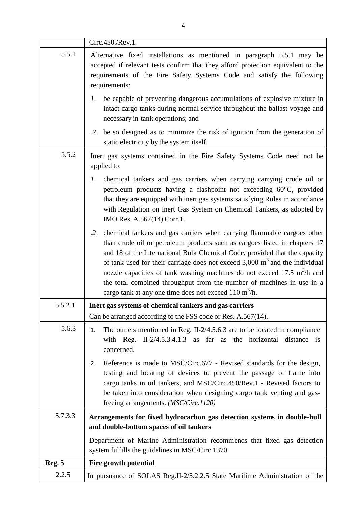|         | Circ.450./Rev.1.                                                                                                                                                                                                                                                                                                                                                                                                                                                                                                                                                             |
|---------|------------------------------------------------------------------------------------------------------------------------------------------------------------------------------------------------------------------------------------------------------------------------------------------------------------------------------------------------------------------------------------------------------------------------------------------------------------------------------------------------------------------------------------------------------------------------------|
| 5.5.1   | Alternative fixed installations as mentioned in paragraph 5.5.1 may be<br>accepted if relevant tests confirm that they afford protection equivalent to the<br>requirements of the Fire Safety Systems Code and satisfy the following<br>requirements:                                                                                                                                                                                                                                                                                                                        |
|         | be capable of preventing dangerous accumulations of explosive mixture in<br>1.<br>intact cargo tanks during normal service throughout the ballast voyage and<br>necessary in-tank operations; and                                                                                                                                                                                                                                                                                                                                                                            |
|         | .2. be so designed as to minimize the risk of ignition from the generation of<br>static electricity by the system itself.                                                                                                                                                                                                                                                                                                                                                                                                                                                    |
| 5.5.2   | Inert gas systems contained in the Fire Safety Systems Code need not be<br>applied to:                                                                                                                                                                                                                                                                                                                                                                                                                                                                                       |
|         | chemical tankers and gas carriers when carrying carrying crude oil or<br>1.<br>petroleum products having a flashpoint not exceeding 60°C, provided<br>that they are equipped with inert gas systems satisfying Rules in accordance<br>with Regulation on Inert Gas System on Chemical Tankers, as adopted by<br>IMO Res. A.567(14) Corr.1.                                                                                                                                                                                                                                   |
|         | .2. chemical tankers and gas carriers when carrying flammable cargoes other<br>than crude oil or petroleum products such as cargoes listed in chapters 17<br>and 18 of the International Bulk Chemical Code, provided that the capacity<br>of tank used for their carriage does not exceed $3,000 \text{ m}^3$ and the individual<br>nozzle capacities of tank washing machines do not exceed 17.5 m <sup>3</sup> /h and<br>the total combined throughput from the number of machines in use in a<br>cargo tank at any one time does not exceed $110 \text{ m}^3/\text{h}$ . |
| 5.5.2.1 | Inert gas systems of chemical tankers and gas carriers                                                                                                                                                                                                                                                                                                                                                                                                                                                                                                                       |
|         | Can be arranged according to the FSS code or Res. A.567(14).                                                                                                                                                                                                                                                                                                                                                                                                                                                                                                                 |
| 5.6.3   | The outlets mentioned in Reg. II- $2/4.5.6.3$ are to be located in compliance<br>1.<br>with Reg. II- $2/4.5.3.4.1.3$ as far as the horizontal distance is<br>concerned.                                                                                                                                                                                                                                                                                                                                                                                                      |
|         | Reference is made to MSC/Circ.677 - Revised standards for the design,<br>2.<br>testing and locating of devices to prevent the passage of flame into<br>cargo tanks in oil tankers, and MSC/Circ.450/Rev.1 - Revised factors to<br>be taken into consideration when designing cargo tank venting and gas-<br>freeing arrangements. ( <i>MSC/Circ.1120</i> )                                                                                                                                                                                                                   |
| 5.7.3.3 | Arrangements for fixed hydrocarbon gas detection systems in double-hull<br>and double-bottom spaces of oil tankers                                                                                                                                                                                                                                                                                                                                                                                                                                                           |
|         | Department of Marine Administration recommends that fixed gas detection<br>system fulfills the guidelines in MSC/Circ.1370                                                                                                                                                                                                                                                                                                                                                                                                                                                   |
| Reg. 5  | Fire growth potential                                                                                                                                                                                                                                                                                                                                                                                                                                                                                                                                                        |
| 2.2.5   | In pursuance of SOLAS Reg.II-2/5.2.2.5 State Maritime Administration of the                                                                                                                                                                                                                                                                                                                                                                                                                                                                                                  |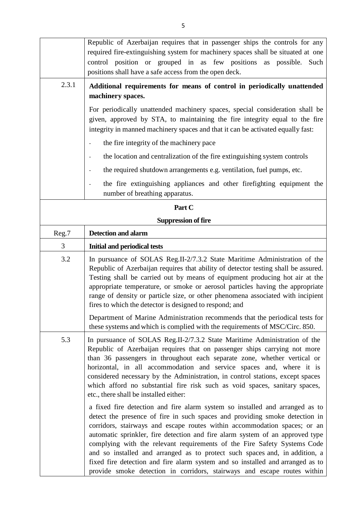|       | Republic of Azerbaijan requires that in passenger ships the controls for any                                                                                                                                                                                                                                                                                                                                                                                                                                                                                                                                                                       |
|-------|----------------------------------------------------------------------------------------------------------------------------------------------------------------------------------------------------------------------------------------------------------------------------------------------------------------------------------------------------------------------------------------------------------------------------------------------------------------------------------------------------------------------------------------------------------------------------------------------------------------------------------------------------|
|       | required fire-extinguishing system for machinery spaces shall be situated at one                                                                                                                                                                                                                                                                                                                                                                                                                                                                                                                                                                   |
|       | control position or grouped in as few positions as possible. Such                                                                                                                                                                                                                                                                                                                                                                                                                                                                                                                                                                                  |
|       | positions shall have a safe access from the open deck.                                                                                                                                                                                                                                                                                                                                                                                                                                                                                                                                                                                             |
| 2.3.1 | Additional requirements for means of control in periodically unattended                                                                                                                                                                                                                                                                                                                                                                                                                                                                                                                                                                            |
|       | machinery spaces.                                                                                                                                                                                                                                                                                                                                                                                                                                                                                                                                                                                                                                  |
|       | For periodically unattended machinery spaces, special consideration shall be<br>given, approved by STA, to maintaining the fire integrity equal to the fire<br>integrity in manned machinery spaces and that it can be activated equally fast:                                                                                                                                                                                                                                                                                                                                                                                                     |
|       | the fire integrity of the machinery pace                                                                                                                                                                                                                                                                                                                                                                                                                                                                                                                                                                                                           |
|       | the location and centralization of the fire extinguishing system controls                                                                                                                                                                                                                                                                                                                                                                                                                                                                                                                                                                          |
|       | the required shutdown arrangements e.g. ventilation, fuel pumps, etc.                                                                                                                                                                                                                                                                                                                                                                                                                                                                                                                                                                              |
|       | the fire extinguishing appliances and other firefighting equipment the<br>number of breathing apparatus.                                                                                                                                                                                                                                                                                                                                                                                                                                                                                                                                           |
|       | Part C                                                                                                                                                                                                                                                                                                                                                                                                                                                                                                                                                                                                                                             |
|       | <b>Suppression of fire</b>                                                                                                                                                                                                                                                                                                                                                                                                                                                                                                                                                                                                                         |
| Reg.7 | <b>Detection and alarm</b>                                                                                                                                                                                                                                                                                                                                                                                                                                                                                                                                                                                                                         |
| 3     | <b>Initial and periodical tests</b>                                                                                                                                                                                                                                                                                                                                                                                                                                                                                                                                                                                                                |
| 3.2   | In pursuance of SOLAS Reg.II-2/7.3.2 State Maritime Administration of the<br>Republic of Azerbaijan requires that ability of detector testing shall be assured.<br>Testing shall be carried out by means of equipment producing hot air at the<br>appropriate temperature, or smoke or aerosol particles having the appropriate<br>range of density or particle size, or other phenomena associated with incipient<br>fires to which the detector is designed to respond; and                                                                                                                                                                      |
|       | Department of Marine Administration recommends that the periodical tests for<br>these systems and which is complied with the requirements of MSC/Circ. 850.                                                                                                                                                                                                                                                                                                                                                                                                                                                                                        |
| 5.3   | In pursuance of SOLAS Reg.II-2/7.3.2 State Maritime Administration of the<br>Republic of Azerbaijan requires that on passenger ships carrying not more<br>than 36 passengers in throughout each separate zone, whether vertical or<br>horizontal, in all accommodation and service spaces and, where it is<br>considered necessary by the Administration, in control stations, except spaces<br>which afford no substantial fire risk such as void spaces, sanitary spaces,<br>etc., there shall be installed either:                                                                                                                              |
|       | a fixed fire detection and fire alarm system so installed and arranged as to<br>detect the presence of fire in such spaces and providing smoke detection in<br>corridors, stairways and escape routes within accommodation spaces; or an<br>automatic sprinkler, fire detection and fire alarm system of an approved type<br>complying with the relevant requirements of the Fire Safety Systems Code<br>and so installed and arranged as to protect such spaces and, in addition, a<br>fixed fire detection and fire alarm system and so installed and arranged as to<br>provide smoke detection in corridors, stairways and escape routes within |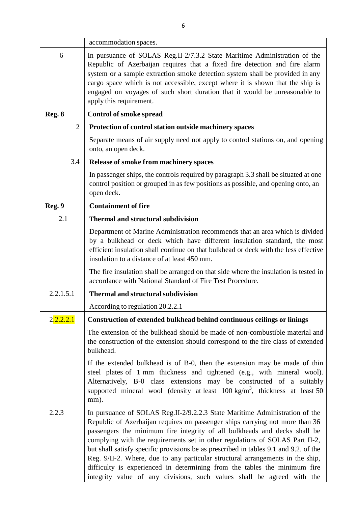|                | accommodation spaces.                                                                                                                                                                                                                                                                                                                                                                                                                                                                                                                                                                                                                                     |
|----------------|-----------------------------------------------------------------------------------------------------------------------------------------------------------------------------------------------------------------------------------------------------------------------------------------------------------------------------------------------------------------------------------------------------------------------------------------------------------------------------------------------------------------------------------------------------------------------------------------------------------------------------------------------------------|
| 6              | In pursuance of SOLAS Reg.II-2/7.3.2 State Maritime Administration of the<br>Republic of Azerbaijan requires that a fixed fire detection and fire alarm<br>system or a sample extraction smoke detection system shall be provided in any<br>cargo space which is not accessible, except where it is shown that the ship is<br>engaged on voyages of such short duration that it would be unreasonable to<br>apply this requirement.                                                                                                                                                                                                                       |
| Reg. 8         | <b>Control of smoke spread</b>                                                                                                                                                                                                                                                                                                                                                                                                                                                                                                                                                                                                                            |
| $\overline{2}$ | Protection of control station outside machinery spaces                                                                                                                                                                                                                                                                                                                                                                                                                                                                                                                                                                                                    |
|                | Separate means of air supply need not apply to control stations on, and opening<br>onto, an open deck.                                                                                                                                                                                                                                                                                                                                                                                                                                                                                                                                                    |
| 3.4            | <b>Release of smoke from machinery spaces</b>                                                                                                                                                                                                                                                                                                                                                                                                                                                                                                                                                                                                             |
|                | In passenger ships, the controls required by paragraph 3.3 shall be situated at one<br>control position or grouped in as few positions as possible, and opening onto, an<br>open deck.                                                                                                                                                                                                                                                                                                                                                                                                                                                                    |
| Reg. 9         | <b>Containment of fire</b>                                                                                                                                                                                                                                                                                                                                                                                                                                                                                                                                                                                                                                |
| 2.1            | <b>Thermal and structural subdivision</b>                                                                                                                                                                                                                                                                                                                                                                                                                                                                                                                                                                                                                 |
|                | Department of Marine Administration recommends that an area which is divided<br>by a bulkhead or deck which have different insulation standard, the most<br>efficient insulation shall continue on that bulkhead or deck with the less effective<br>insulation to a distance of at least 450 mm.<br>The fire insulation shall be arranged on that side where the insulation is tested in<br>accordance with National Standard of Fire Test Procedure.                                                                                                                                                                                                     |
| 2.2.1.5.1      | <b>Thermal and structural subdivision</b>                                                                                                                                                                                                                                                                                                                                                                                                                                                                                                                                                                                                                 |
|                | According to regulation 20.2.2.1                                                                                                                                                                                                                                                                                                                                                                                                                                                                                                                                                                                                                          |
| 2.2.2.2.1      | Construction of extended bulkhead behind continuous ceilings or linings                                                                                                                                                                                                                                                                                                                                                                                                                                                                                                                                                                                   |
|                | The extension of the bulkhead should be made of non-combustible material and<br>the construction of the extension should correspond to the fire class of extended<br>bulkhead.                                                                                                                                                                                                                                                                                                                                                                                                                                                                            |
|                | If the extended bulkhead is of B-0, then the extension may be made of thin<br>steel plates of 1 mm thickness and tightened (e.g., with mineral wool).<br>Alternatively, B-0 class extensions may be constructed of a suitably<br>supported mineral wool (density at least $100 \text{ kg/m}^3$ , thickness at least 50<br>mm).                                                                                                                                                                                                                                                                                                                            |
| 2.2.3          | In pursuance of SOLAS Reg.II-2/9.2.2.3 State Maritime Administration of the<br>Republic of Azerbaijan requires on passenger ships carrying not more than 36<br>passengers the minimum fire integrity of all bulkheads and decks shall be<br>complying with the requirements set in other regulations of SOLAS Part II-2,<br>but shall satisfy specific provisions be as prescribed in tables 9.1 and 9.2. of the<br>Reg. 9/II-2. Where, due to any particular structural arrangements in the ship,<br>difficulty is experienced in determining from the tables the minimum fire<br>integrity value of any divisions, such values shall be agreed with the |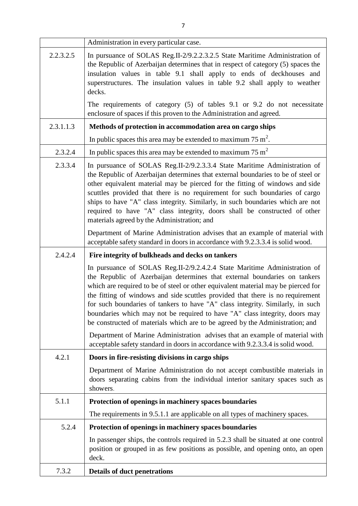|           | Administration in every particular case.                                                                                                                                                                                                                                                                                                                                                                                                                                                                                                                                        |
|-----------|---------------------------------------------------------------------------------------------------------------------------------------------------------------------------------------------------------------------------------------------------------------------------------------------------------------------------------------------------------------------------------------------------------------------------------------------------------------------------------------------------------------------------------------------------------------------------------|
| 2.2.3.2.5 | In pursuance of SOLAS Reg.II-2/9.2.2.3.2.5 State Maritime Administration of<br>the Republic of Azerbaijan determines that in respect of category (5) spaces the<br>insulation values in table 9.1 shall apply to ends of deckhouses and<br>superstructures. The insulation values in table 9.2 shall apply to weather<br>decks.                                                                                                                                                                                                                                                 |
|           | The requirements of category (5) of tables 9.1 or 9.2 do not necessitate<br>enclosure of spaces if this proven to the Administration and agreed.                                                                                                                                                                                                                                                                                                                                                                                                                                |
| 2.3.1.1.3 | Methods of protection in accommodation area on cargo ships                                                                                                                                                                                                                                                                                                                                                                                                                                                                                                                      |
|           | In public spaces this area may be extended to maximum 75 $m2$ .                                                                                                                                                                                                                                                                                                                                                                                                                                                                                                                 |
| 2.3.2.4   | In public spaces this area may be extended to maximum $75 \text{ m}^2$                                                                                                                                                                                                                                                                                                                                                                                                                                                                                                          |
| 2.3.3.4   | In pursuance of SOLAS Reg.II-2/9.2.3.3.4 State Maritime Administration of<br>the Republic of Azerbaijan determines that external boundaries to be of steel or<br>other equivalent material may be pierced for the fitting of windows and side<br>scuttles provided that there is no requirement for such boundaries of cargo<br>ships to have "A" class integrity. Similarly, in such boundaries which are not<br>required to have "A" class integrity, doors shall be constructed of other<br>materials agreed by the Administration; and                                      |
|           | Department of Marine Administration advises that an example of material with<br>acceptable safety standard in doors in accordance with 9.2.3.3.4 is solid wood.                                                                                                                                                                                                                                                                                                                                                                                                                 |
| 2.4.2.4   | Fire integrity of bulkheads and decks on tankers                                                                                                                                                                                                                                                                                                                                                                                                                                                                                                                                |
|           | In pursuance of SOLAS Reg.II-2/9.2.4.2.4 State Maritime Administration of<br>the Republic of Azerbaijan determines that external boundaries on tankers<br>which are required to be of steel or other equivalent material may be pierced for<br>the fitting of windows and side scuttles provided that there is no requirement<br>for such boundaries of tankers to have "A" class integrity. Similarly, in such<br>boundaries which may not be required to have "A" class integrity, doors may<br>be constructed of materials which are to be agreed by the Administration; and |
|           | Department of Marine Administration advises that an example of material with<br>acceptable safety standard in doors in accordance with 9.2.3.3.4 is solid wood.                                                                                                                                                                                                                                                                                                                                                                                                                 |
| 4.2.1     | Doors in fire-resisting divisions in cargo ships                                                                                                                                                                                                                                                                                                                                                                                                                                                                                                                                |
|           | Department of Marine Administration do not accept combustible materials in<br>doors separating cabins from the individual interior sanitary spaces such as<br>showers.                                                                                                                                                                                                                                                                                                                                                                                                          |
| 5.1.1     | Protection of openings in machinery spaces boundaries                                                                                                                                                                                                                                                                                                                                                                                                                                                                                                                           |
|           | The requirements in 9.5.1.1 are applicable on all types of machinery spaces.                                                                                                                                                                                                                                                                                                                                                                                                                                                                                                    |
| 5.2.4     | Protection of openings in machinery spaces boundaries                                                                                                                                                                                                                                                                                                                                                                                                                                                                                                                           |
|           | In passenger ships, the controls required in 5.2.3 shall be situated at one control<br>position or grouped in as few positions as possible, and opening onto, an open<br>deck.                                                                                                                                                                                                                                                                                                                                                                                                  |
| 7.3.2     | <b>Details of duct penetrations</b>                                                                                                                                                                                                                                                                                                                                                                                                                                                                                                                                             |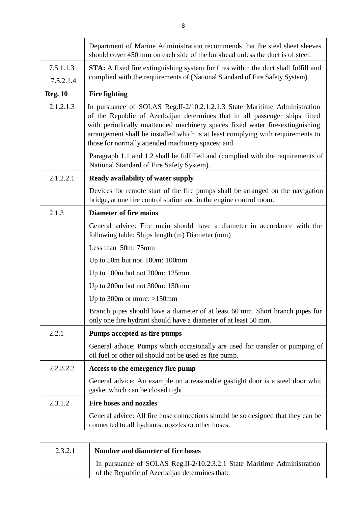|                            | Department of Marine Administration recommends that the steel sheet sleeves<br>should cover 450 mm on each side of the bulkhead unless the duct is of steel.                                                                                                                                                                                                                     |
|----------------------------|----------------------------------------------------------------------------------------------------------------------------------------------------------------------------------------------------------------------------------------------------------------------------------------------------------------------------------------------------------------------------------|
| $7.5.1.1.3$ ,<br>7.5.2.1.4 | <b>STA:</b> A fixed fire extinguishing system for fires within the duct shall fulfill and<br>complied with the requirements of (National Standard of Fire Safety System).                                                                                                                                                                                                        |
| <b>Reg. 10</b>             | <b>Fire fighting</b>                                                                                                                                                                                                                                                                                                                                                             |
| 2.1.2.1.3                  | In pursuance of SOLAS Reg.II-2/10.2.1.2.1.3 State Maritime Administration<br>of the Republic of Azerbaijan determines that in all passenger ships fitted<br>with periodically unattended machinery spaces fixed water fire-extinguishing<br>arrangement shall be installed which is at least complying with requirements to<br>those for normally attended machinery spaces; and |
|                            | Paragraph 1.1 and 1.2 shall be fulfilled and (complied with the requirements of<br>National Standard of Fire Safety System).                                                                                                                                                                                                                                                     |
| 2.1.2.2.1                  | <b>Ready availability of water supply</b>                                                                                                                                                                                                                                                                                                                                        |
|                            | Devices for remote start of the fire pumps shall be arranged on the navigation<br>bridge, at one fire control station and in the engine control room.                                                                                                                                                                                                                            |
| 2.1.3                      | <b>Diameter of fire mains</b>                                                                                                                                                                                                                                                                                                                                                    |
|                            | General advice: Fire main should have a diameter in accordance with the<br>following table: Ships length (m) Diameter (mm)                                                                                                                                                                                                                                                       |
|                            | Less than 50m: 75mm                                                                                                                                                                                                                                                                                                                                                              |
|                            | Up to 50m but not 100m: 100mm                                                                                                                                                                                                                                                                                                                                                    |
|                            | Up to 100m but not 200m: 125mm                                                                                                                                                                                                                                                                                                                                                   |
|                            | Up to 200m but not 300m: 150mm                                                                                                                                                                                                                                                                                                                                                   |
|                            | Up to 300m or more: $>150$ mm                                                                                                                                                                                                                                                                                                                                                    |
|                            | Branch pipes should have a diameter of at least 60 mm. Short branch pipes for<br>only one fire hydrant should have a diameter of at least 50 mm.                                                                                                                                                                                                                                 |
| 2.2.1                      | Pumps accepted as fire pumps                                                                                                                                                                                                                                                                                                                                                     |
|                            | General advice: Pumps which occasionally are used for transfer or pumping of<br>oil fuel or other oil should not be used as fire pump.                                                                                                                                                                                                                                           |
| 2.2.3.2.2                  | Access to the emergency fire pump                                                                                                                                                                                                                                                                                                                                                |
|                            | General advice: An example on a reasonable gastight door is a steel door whit<br>gasket which can be closed tight.                                                                                                                                                                                                                                                               |
| 2.3.1.2                    | <b>Fire hoses and nozzles</b>                                                                                                                                                                                                                                                                                                                                                    |
|                            | General advice: All fire hose connections should be so designed that they can be<br>connected to all hydrants, nozzles or other hoses.                                                                                                                                                                                                                                           |

| 2.3.2.1 | Number and diameter of fire hoses                                                                                         |
|---------|---------------------------------------------------------------------------------------------------------------------------|
|         | In pursuance of SOLAS Reg.II-2/10.2.3.2.1 State Maritime Administration<br>of the Republic of Azerbaijan determines that: |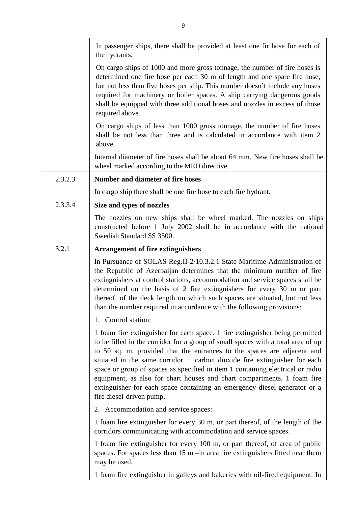|         | In passenger ships, there shall be provided at least one fir hose for each of<br>the hydrants.                                                                                                                                                                                                                                                                                                                                                                                                                                                                                                  |
|---------|-------------------------------------------------------------------------------------------------------------------------------------------------------------------------------------------------------------------------------------------------------------------------------------------------------------------------------------------------------------------------------------------------------------------------------------------------------------------------------------------------------------------------------------------------------------------------------------------------|
|         | On cargo ships of 1000 and more gross tonnage, the number of fire hoses is<br>determined one fire hose per each 30 m of length and one spare fire hose,<br>but not less than five hoses per ship. This number doesn't include any hoses<br>required for machinery or boiler spaces. A ship carrying dangerous goods<br>shall be equipped with three additional hoses and nozzles in excess of those<br>required above.                                                                                                                                                                          |
|         | On cargo ships of less than 1000 gross tonnage, the number of fire hoses<br>shall be not less than three and is calculated in accordance with item 2<br>above.                                                                                                                                                                                                                                                                                                                                                                                                                                  |
|         | Internal diameter of fire hoses shall be about 64 mm. New fire hoses shall be<br>wheel marked according to the MED directive.                                                                                                                                                                                                                                                                                                                                                                                                                                                                   |
| 2.3.2.3 | <b>Number and diameter of fire hoses</b>                                                                                                                                                                                                                                                                                                                                                                                                                                                                                                                                                        |
|         | In cargo ship there shall be one fire hose to each fire hydrant.                                                                                                                                                                                                                                                                                                                                                                                                                                                                                                                                |
| 2.3.3.4 | Size and types of nozzles                                                                                                                                                                                                                                                                                                                                                                                                                                                                                                                                                                       |
|         | The nozzles on new ships shall be wheel marked. The nozzles on ships<br>constructed before 1 July 2002 shall be in accordance with the national<br>Swedish Standard SS 3500.                                                                                                                                                                                                                                                                                                                                                                                                                    |
| 3.2.1   | <b>Arrangement of fire extinguishers</b>                                                                                                                                                                                                                                                                                                                                                                                                                                                                                                                                                        |
|         | In Pursuance of SOLAS Reg.II-2/10.3.2.1 State Maritime Administration of<br>the Republic of Azerbaijan determines that the minimum number of fire<br>extinguishers at control stations, accommodation and service spaces shall be<br>determined on the basis of 2 fire extinguishers for every 30 m or part<br>thereof, of the deck length on which such spaces are situated, but not less<br>than the number required in accordance with the following provisions:                                                                                                                             |
|         | 1. Control station:                                                                                                                                                                                                                                                                                                                                                                                                                                                                                                                                                                             |
|         | 1 foam fire extinguisher for each space. 1 fire extinguisher being permitted<br>to be filled in the corridor for a group of small spaces with a total area of up<br>to 50 sq. m, provided that the entrances to the spaces are adjacent and<br>situated in the same corridor. 1 carbon dioxide fire extinguisher for each<br>space or group of spaces as specified in item 1 containing electrical or radio<br>equipment, as also for chart houses and chart compartments. 1 foam fire<br>extinguisher for each space containing an emergency diesel-generator or a<br>fire diesel-driven pump. |
|         | 2. Accommodation and service spaces:                                                                                                                                                                                                                                                                                                                                                                                                                                                                                                                                                            |
|         | 1 foam lire extinguisher for every 30 m, or part thereof, of the length of the<br>corridors communicating with accommodation and service spaces.                                                                                                                                                                                                                                                                                                                                                                                                                                                |
|         | 1 foam fire extinguisher for every 100 m, or part thereof, of area of public<br>spaces. For spaces less than $15 \text{ m}$ -in area fire extinguishers fitted near them<br>may be used.                                                                                                                                                                                                                                                                                                                                                                                                        |
|         | 1 foam fire extinguisher in galleys and bakeries with oil-fired equipment. In                                                                                                                                                                                                                                                                                                                                                                                                                                                                                                                   |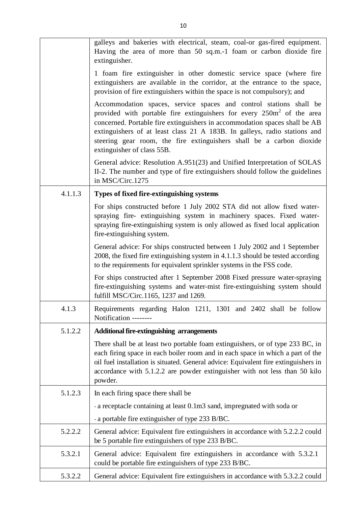|         | galleys and bakeries with electrical, steam, coal-or gas-fired equipment.<br>Having the area of more than 50 sq.m.-1 foam or carbon dioxide fire<br>extinguisher.                                                                                                                                                                                                                                                        |
|---------|--------------------------------------------------------------------------------------------------------------------------------------------------------------------------------------------------------------------------------------------------------------------------------------------------------------------------------------------------------------------------------------------------------------------------|
|         | 1 foam fire extinguisher in other domestic service space (where fire<br>extinguishers are available in the corridor, at the entrance to the space,<br>provision of fire extinguishers within the space is not compulsory); and                                                                                                                                                                                           |
|         | Accommodation spaces, service spaces and control stations shall be<br>provided with portable fire extinguishers for every 250m <sup>2</sup> of the area<br>concerned. Portable fire extinguishers in accommodation spaces shall be AB<br>extinguishers of at least class 21 A 183B. In galleys, radio stations and<br>steering gear room, the fire extinguishers shall be a carbon dioxide<br>extinguisher of class 55B. |
|         | General advice: Resolution A.951(23) and Unified Interpretation of SOLAS<br>II-2. The number and type of fire extinguishers should follow the guidelines<br>in MSC/Circ.1275                                                                                                                                                                                                                                             |
| 4.1.1.3 | Types of fixed fire-extinguishing systems                                                                                                                                                                                                                                                                                                                                                                                |
|         | For ships constructed before 1 July 2002 STA did not allow fixed water-<br>spraying fire- extinguishing system in machinery spaces. Fixed water-<br>spraying fire-extinguishing system is only allowed as fixed local application<br>fire-extinguishing system.                                                                                                                                                          |
|         | General advice: For ships constructed between 1 July 2002 and 1 September<br>2008, the fixed fire extinguishing system in 4.1.1.3 should be tested according<br>to the requirements for equivalent sprinkler systems in the FSS code.                                                                                                                                                                                    |
|         | For ships constructed after 1 September 2008 Fixed pressure water-spraying<br>fire-extinguishing systems and water-mist fire-extinguishing system should<br>fulfill MSC/Circ.1165, 1237 and 1269.                                                                                                                                                                                                                        |
| 4.1.3   | Requirements regarding Halon 1211, 1301 and 2402 shall be follow<br>Notification --------                                                                                                                                                                                                                                                                                                                                |
| 5.1.2.2 | <b>Additional fire-extinguishing arrangements</b>                                                                                                                                                                                                                                                                                                                                                                        |
|         | There shall be at least two portable foam extinguishers, or of type 233 BC, in<br>each firing space in each boiler room and in each space in which a part of the<br>oil fuel installation is situated. General advice: Equivalent fire extinguishers in<br>accordance with 5.1.2.2 are powder extinguisher with not less than 50 kilo<br>powder.                                                                         |
| 5.1.2.3 | In each firing space there shall be                                                                                                                                                                                                                                                                                                                                                                                      |
|         | - a receptacle containing at least 0.1m3 sand, impregnated with soda or                                                                                                                                                                                                                                                                                                                                                  |
|         | - a portable fire extinguisher of type 233 B/BC.                                                                                                                                                                                                                                                                                                                                                                         |
| 5.2.2.2 | General advice: Equivalent fire extinguishers in accordance with 5.2.2.2 could<br>be 5 portable fire extinguishers of type 233 B/BC.                                                                                                                                                                                                                                                                                     |
| 5.3.2.1 | General advice: Equivalent fire extinguishers in accordance with 5.3.2.1<br>could be portable fire extinguishers of type 233 B/BC.                                                                                                                                                                                                                                                                                       |
| 5.3.2.2 | General advice: Equivalent fire extinguishers in accordance with 5.3.2.2 could                                                                                                                                                                                                                                                                                                                                           |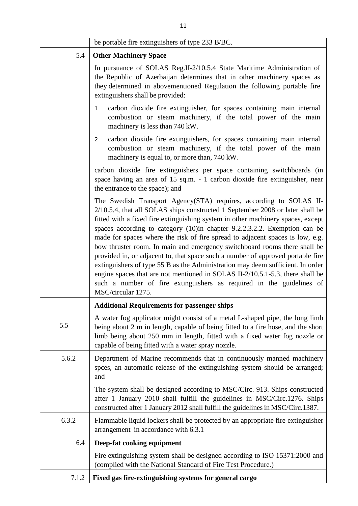|       | be portable fire extinguishers of type 233 B/BC.                                                                                                                                                                                                                                                                                                                                                                                                                                                                                                                                                                                                                                                                                                                                                                                      |
|-------|---------------------------------------------------------------------------------------------------------------------------------------------------------------------------------------------------------------------------------------------------------------------------------------------------------------------------------------------------------------------------------------------------------------------------------------------------------------------------------------------------------------------------------------------------------------------------------------------------------------------------------------------------------------------------------------------------------------------------------------------------------------------------------------------------------------------------------------|
| 5.4   | <b>Other Machinery Space</b>                                                                                                                                                                                                                                                                                                                                                                                                                                                                                                                                                                                                                                                                                                                                                                                                          |
|       | In pursuance of SOLAS Reg.II-2/10.5.4 State Maritime Administration of<br>the Republic of Azerbaijan determines that in other machinery spaces as<br>they determined in abovementioned Regulation the following portable fire<br>extinguishers shall be provided:                                                                                                                                                                                                                                                                                                                                                                                                                                                                                                                                                                     |
|       | carbon dioxide fire extinguisher, for spaces containing main internal<br>1<br>combustion or steam machinery, if the total power of the main<br>machinery is less than 740 kW.                                                                                                                                                                                                                                                                                                                                                                                                                                                                                                                                                                                                                                                         |
|       | carbon dioxide fire extinguishers, for spaces containing main internal<br>$\overline{2}$<br>combustion or steam machinery, if the total power of the main<br>machinery is equal to, or more than, 740 kW.                                                                                                                                                                                                                                                                                                                                                                                                                                                                                                                                                                                                                             |
|       | carbon dioxide fire extinguishers per space containing switchboards (in<br>space having an area of 15 sq.m. - 1 carbon dioxide fire extinguisher, near<br>the entrance to the space); and                                                                                                                                                                                                                                                                                                                                                                                                                                                                                                                                                                                                                                             |
|       | The Swedish Transport Agency(STA) requires, according to SOLAS II-<br>2/10.5.4, that all SOLAS ships constructed 1 September 2008 or later shall be<br>fitted with a fixed fire extinguishing system in other machinery spaces, except<br>spaces according to category (10)in chapter 9.2.2.3.2.2. Exemption can be<br>made for spaces where the risk of fire spread to adjacent spaces is low, e.g.<br>bow thruster room. In main and emergency switchboard rooms there shall be<br>provided in, or adjacent to, that space such a number of approved portable fire<br>extinguishers of type 55 B as the Administration may deem sufficient. In order<br>engine spaces that are not mentioned in SOLAS II-2/10.5.1-5.3, there shall be<br>such a number of fire extinguishers as required in the guidelines of<br>MSC/circular 1275. |
|       | <b>Additional Requirements for passenger ships</b>                                                                                                                                                                                                                                                                                                                                                                                                                                                                                                                                                                                                                                                                                                                                                                                    |
| 5.5   | A water fog applicator might consist of a metal L-shaped pipe, the long limb<br>being about 2 m in length, capable of being fitted to a fire hose, and the short<br>limb being about 250 mm in length, fitted with a fixed water fog nozzle or<br>capable of being fitted with a water spray nozzle.                                                                                                                                                                                                                                                                                                                                                                                                                                                                                                                                  |
| 5.6.2 | Department of Marine recommends that in continuously manned machinery<br>spees, an automatic release of the extinguishing system should be arranged;<br>and                                                                                                                                                                                                                                                                                                                                                                                                                                                                                                                                                                                                                                                                           |
|       | The system shall be designed according to MSC/Circ. 913. Ships constructed<br>after 1 January 2010 shall fulfill the guidelines in MSC/Circ.1276. Ships<br>constructed after 1 January 2012 shall fulfill the guidelines in MSC/Circ.1387.                                                                                                                                                                                                                                                                                                                                                                                                                                                                                                                                                                                            |
| 6.3.2 | Flammable liquid lockers shall be protected by an appropriate fire extinguisher<br>arrangement in accordance with 6.3.1                                                                                                                                                                                                                                                                                                                                                                                                                                                                                                                                                                                                                                                                                                               |
| 6.4   | Deep-fat cooking equipment                                                                                                                                                                                                                                                                                                                                                                                                                                                                                                                                                                                                                                                                                                                                                                                                            |
|       | Fire extinguishing system shall be designed according to ISO 15371:2000 and<br>(complied with the National Standard of Fire Test Procedure.)                                                                                                                                                                                                                                                                                                                                                                                                                                                                                                                                                                                                                                                                                          |
| 7.1.2 | Fixed gas fire-extinguishing systems for general cargo                                                                                                                                                                                                                                                                                                                                                                                                                                                                                                                                                                                                                                                                                                                                                                                |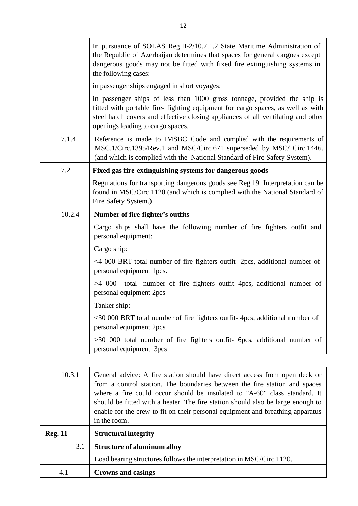|        | In pursuance of SOLAS Reg.II-2/10.7.1.2 State Maritime Administration of<br>the Republic of Azerbaijan determines that spaces for general cargoes except<br>dangerous goods may not be fitted with fixed fire extinguishing systems in<br>the following cases:                       |
|--------|--------------------------------------------------------------------------------------------------------------------------------------------------------------------------------------------------------------------------------------------------------------------------------------|
|        | in passenger ships engaged in short voyages;                                                                                                                                                                                                                                         |
|        | in passenger ships of less than 1000 gross tonnage, provided the ship is<br>fitted with portable fire- fighting equipment for cargo spaces, as well as with<br>steel hatch covers and effective closing appliances of all ventilating and other<br>openings leading to cargo spaces. |
| 7.1.4  | Reference is made to IMSBC Code and complied with the requirements of<br>MSC.1/Circ.1395/Rev.1 and MSC/Circ.671 superseded by MSC/ Circ.1446.<br>(and which is complied with the National Standard of Fire Safety System).                                                           |
| 7.2    | Fixed gas fire-extinguishing systems for dangerous goods                                                                                                                                                                                                                             |
|        | Regulations for transporting dangerous goods see Reg.19. Interpretation can be<br>found in MSC/Circ 1120 (and which is complied with the National Standard of<br>Fire Safety System.)                                                                                                |
| 10.2.4 | Number of fire-fighter's outfits                                                                                                                                                                                                                                                     |
|        | Cargo ships shall have the following number of fire fighters outfit and<br>personal equipment:                                                                                                                                                                                       |
|        | Cargo ship:                                                                                                                                                                                                                                                                          |
|        | <4 000 BRT total number of fire fighters outfit- 2pcs, additional number of<br>personal equipment 1pcs.                                                                                                                                                                              |
|        | $>4$ 000 total -number of fire fighters outfit 4pcs, additional number of<br>personal equipment 2pcs                                                                                                                                                                                 |
|        | Tanker ship:                                                                                                                                                                                                                                                                         |
|        | <30 000 BRT total number of fire fighters outfit-4pcs, additional number of<br>personal equipment 2pcs                                                                                                                                                                               |
|        | >30 000 total number of fire fighters outfit- 6pcs, additional number of<br>personal equipment 3pcs                                                                                                                                                                                  |

| 10.3.1         | General advice: A fire station should have direct access from open deck or<br>from a control station. The boundaries between the fire station and spaces<br>where a fire could occur should be insulated to "A-60" class standard. It<br>should be fitted with a heater. The fire station should also be large enough to<br>enable for the crew to fit on their personal equipment and breathing apparatus<br>in the room. |
|----------------|----------------------------------------------------------------------------------------------------------------------------------------------------------------------------------------------------------------------------------------------------------------------------------------------------------------------------------------------------------------------------------------------------------------------------|
| <b>Reg. 11</b> | <b>Structural integrity</b>                                                                                                                                                                                                                                                                                                                                                                                                |
| 3.1            | <b>Structure of aluminum alloy</b>                                                                                                                                                                                                                                                                                                                                                                                         |
|                | Load bearing structures follows the interpretation in MSC/Circ.1120.                                                                                                                                                                                                                                                                                                                                                       |
| 4.1            | <b>Crowns and casings</b>                                                                                                                                                                                                                                                                                                                                                                                                  |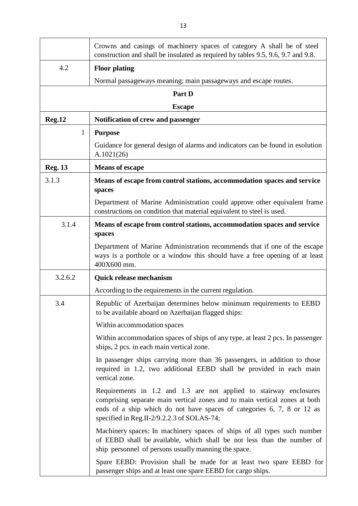|                | Crowns and casings of machinery spaces of category A shall be of steel<br>construction and shall be insulated as required by tables 9.5, 9.6, 9.7 and 9.8.                                                                                                               |
|----------------|--------------------------------------------------------------------------------------------------------------------------------------------------------------------------------------------------------------------------------------------------------------------------|
| 4.2            | <b>Floor plating</b>                                                                                                                                                                                                                                                     |
|                | Normal passageways meaning; main passageways and escape routes.                                                                                                                                                                                                          |
|                | Part D                                                                                                                                                                                                                                                                   |
|                | <b>Escape</b>                                                                                                                                                                                                                                                            |
| <b>Reg.12</b>  | Notification of crew and passenger                                                                                                                                                                                                                                       |
| $\mathbf{1}$   | <b>Purpose</b>                                                                                                                                                                                                                                                           |
|                | Guidance for general design of alarms and indicators can be found in esolution<br>A.1021(26)                                                                                                                                                                             |
| <b>Reg. 13</b> | <b>Means of escape</b>                                                                                                                                                                                                                                                   |
| 3.1.3          | Means of escape from control stations, accommodation spaces and service<br>spaces                                                                                                                                                                                        |
|                | Department of Marine Administration could approve other equivalent frame<br>constructions on condition that material equivalent to steel is used.                                                                                                                        |
| 3.1.4          | Means of escape from control stations, accommodation spaces and service<br>spaces                                                                                                                                                                                        |
|                | Department of Marine Administration recommends that if one of the escape<br>ways is a porthole or a window this should have a free opening of at least<br>400X600 mm.                                                                                                    |
| 3.2.6.2        | <b>Quick release mechanism</b>                                                                                                                                                                                                                                           |
|                | According to the requirements in the current regulation.                                                                                                                                                                                                                 |
| 3.4            | Republic of Azerbaijan determines below minimum requirements to EEBD<br>to be available aboard on Azerbaijan flagged ships:                                                                                                                                              |
|                | Within accommodation spaces                                                                                                                                                                                                                                              |
|                | Within accommodation spaces of ships of any type, at least 2 pcs. In passenger<br>ships, 2 pcs. in each main vertical zone.                                                                                                                                              |
|                | In passenger ships carrying more than 36 passengers, in addition to those<br>required in 1.2, two additional EEBD shall be provided in each main<br>vertical zone.                                                                                                       |
|                | Requirements in 1.2 and 1.3 are not applied to stairway enclosures<br>comprising separate main vertical zones and to main vertical zones at both<br>ends of a ship which do not have spaces of categories 6, 7, 8 or 12 as<br>specified in Reg.II-2/9.2.2.3 of SOLAS-74; |
|                | Machinery spaces: In machinery spaces of ships of all types such number<br>of EEBD shall be available, which shall be not less than the number of<br>ship personnel of persons usually manning the space.                                                                |
|                | Spare EEBD: Provision shall be made for at least two spare EEBD for<br>passenger ships and at least one spare EEBD for cargo ships.                                                                                                                                      |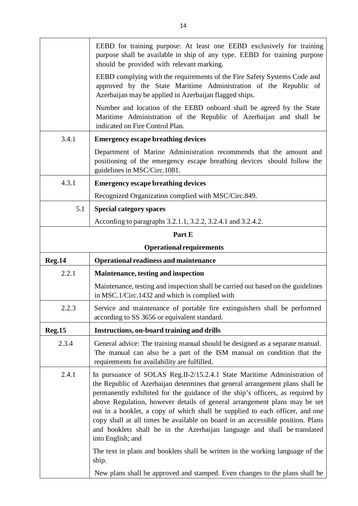|               | EEBD for training purpose: At least one EEBD exclusively for training<br>purpose shall be available in ship of any type. EEBD for training purpose<br>should be provided with relevant marking.                                                                                                                                                                                                                                                                                                                                                                                                                                                                                          |
|---------------|------------------------------------------------------------------------------------------------------------------------------------------------------------------------------------------------------------------------------------------------------------------------------------------------------------------------------------------------------------------------------------------------------------------------------------------------------------------------------------------------------------------------------------------------------------------------------------------------------------------------------------------------------------------------------------------|
|               | EEBD complying with the requirements of the Fire Safety Systems Code and<br>approved by the State Maritime Administration of the Republic of<br>Azerbaijan may be applied in Azerbaijan flagged ships.                                                                                                                                                                                                                                                                                                                                                                                                                                                                                   |
|               | Number and location of the EEBD onboard shall be agreed by the State<br>Maritime Administration of the Republic of Azerbaijan and shall be<br>indicated on Fire Control Plan.                                                                                                                                                                                                                                                                                                                                                                                                                                                                                                            |
| 3.4.1         | <b>Emergency escape breathing devices</b>                                                                                                                                                                                                                                                                                                                                                                                                                                                                                                                                                                                                                                                |
|               | Department of Marine Administration recommends that the amount and<br>positioning of the emergency escape breathing devices should follow the<br>guidelines in MSC/Circ.1081.                                                                                                                                                                                                                                                                                                                                                                                                                                                                                                            |
| 4.3.1         | <b>Emergency escape breathing devices</b>                                                                                                                                                                                                                                                                                                                                                                                                                                                                                                                                                                                                                                                |
|               | Recognized Organization complied with MSC/Circ.849.                                                                                                                                                                                                                                                                                                                                                                                                                                                                                                                                                                                                                                      |
| 5.1           | <b>Special category spaces</b>                                                                                                                                                                                                                                                                                                                                                                                                                                                                                                                                                                                                                                                           |
|               | According to paragraphs 3.2.1.1, 3.2.2, 3.2.4.1 and 3.2.4.2.                                                                                                                                                                                                                                                                                                                                                                                                                                                                                                                                                                                                                             |
|               | Part E                                                                                                                                                                                                                                                                                                                                                                                                                                                                                                                                                                                                                                                                                   |
|               | <b>Operational requirements</b>                                                                                                                                                                                                                                                                                                                                                                                                                                                                                                                                                                                                                                                          |
| <b>Reg.14</b> | <b>Operational readiness and maintenance</b>                                                                                                                                                                                                                                                                                                                                                                                                                                                                                                                                                                                                                                             |
| 2.2.1         | <b>Maintenance, testing and inspection</b>                                                                                                                                                                                                                                                                                                                                                                                                                                                                                                                                                                                                                                               |
|               | Maintenance, testing and inspection shall be carried out based on the guidelines<br>in MSC.1/Circ.1432 and which is complied with                                                                                                                                                                                                                                                                                                                                                                                                                                                                                                                                                        |
| 2.2.3         | Service and maintenance of portable fire extinguishers shall be performed<br>according to SS 3656 or equivalent standard.                                                                                                                                                                                                                                                                                                                                                                                                                                                                                                                                                                |
| <b>Reg.15</b> | Instructions, on-board training and drills                                                                                                                                                                                                                                                                                                                                                                                                                                                                                                                                                                                                                                               |
| 2.3.4         | General advice: The training manual should be designed as a separate manual.<br>The manual can also be a part of the ISM manual on condition that the<br>requirements for availability are fulfilled.                                                                                                                                                                                                                                                                                                                                                                                                                                                                                    |
| 2.4.1         | In pursuance of SOLAS Reg.II-2/15.2.4.1 State Maritime Administration of                                                                                                                                                                                                                                                                                                                                                                                                                                                                                                                                                                                                                 |
|               | the Republic of Azerbaijan determines that general arrangement plans shall be<br>permanently exhibited for the guidance of the ship's officers, as required by<br>above Regulation, however details of general arrangement plans may be set<br>out in a booklet, a copy of which shall be supplied to each officer, and one<br>copy shall at all times be available on board in an accessible position. Plans<br>and booklets shall be in the Azerbaijan language and shall be translated<br>into English; and<br>The text in plans and booklets shall be written in the working language of the<br>ship.<br>New plans shall be approved and stamped. Even changes to the plans shall be |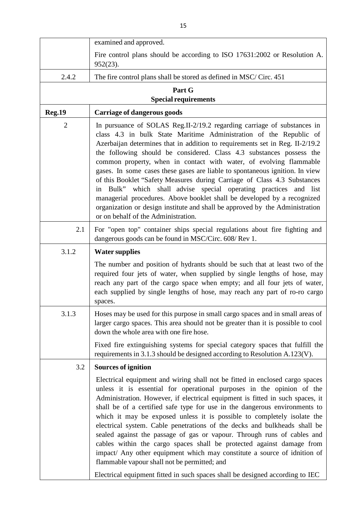|                | examined and approved.                                                                                                                                                                                                                                                                                                                                                                                                                                                                                                                                                                                                                                                                                                                                                                                                                        |
|----------------|-----------------------------------------------------------------------------------------------------------------------------------------------------------------------------------------------------------------------------------------------------------------------------------------------------------------------------------------------------------------------------------------------------------------------------------------------------------------------------------------------------------------------------------------------------------------------------------------------------------------------------------------------------------------------------------------------------------------------------------------------------------------------------------------------------------------------------------------------|
|                | Fire control plans should be according to ISO 17631:2002 or Resolution A.<br>$952(23)$ .                                                                                                                                                                                                                                                                                                                                                                                                                                                                                                                                                                                                                                                                                                                                                      |
| 2.4.2          | The fire control plans shall be stored as defined in MSC/Circ. 451                                                                                                                                                                                                                                                                                                                                                                                                                                                                                                                                                                                                                                                                                                                                                                            |
|                | Part G                                                                                                                                                                                                                                                                                                                                                                                                                                                                                                                                                                                                                                                                                                                                                                                                                                        |
|                | <b>Special requirements</b>                                                                                                                                                                                                                                                                                                                                                                                                                                                                                                                                                                                                                                                                                                                                                                                                                   |
| <b>Reg.19</b>  | <b>Carriage of dangerous goods</b>                                                                                                                                                                                                                                                                                                                                                                                                                                                                                                                                                                                                                                                                                                                                                                                                            |
| $\overline{2}$ | In pursuance of SOLAS Reg.II-2/19.2 regarding carriage of substances in<br>class 4.3 in bulk State Maritime Administration of the Republic of<br>Azerbaijan determines that in addition to requirements set in Reg. II-2/19.2<br>the following should be considered. Class 4.3 substances possess the<br>common property, when in contact with water, of evolving flammable<br>gases. In some cases these gases are liable to spontaneous ignition. In view<br>of this Booklet "Safety Measures during Carriage of Class 4.3 Substances<br>Bulk" which shall advise special operating practices and list<br>in<br>managerial procedures. Above booklet shall be developed by a recognized<br>organization or design institute and shall be approved by the Administration<br>or on behalf of the Administration.                              |
| 2.1            | For "open top" container ships special regulations about fire fighting and<br>dangerous goods can be found in MSC/Circ. 608/Rev 1.                                                                                                                                                                                                                                                                                                                                                                                                                                                                                                                                                                                                                                                                                                            |
| 3.1.2          | <b>Water supplies</b>                                                                                                                                                                                                                                                                                                                                                                                                                                                                                                                                                                                                                                                                                                                                                                                                                         |
|                | The number and position of hydrants should be such that at least two of the<br>required four jets of water, when supplied by single lengths of hose, may<br>reach any part of the cargo space when empty; and all four jets of water,<br>each supplied by single lengths of hose, may reach any part of ro-ro cargo<br>spaces.                                                                                                                                                                                                                                                                                                                                                                                                                                                                                                                |
| 3.1.3          | Hoses may be used for this purpose in small cargo spaces and in small areas of<br>larger cargo spaces. This area should not be greater than it is possible to cool<br>down the whole area with one fire hose.                                                                                                                                                                                                                                                                                                                                                                                                                                                                                                                                                                                                                                 |
|                | Fixed fire extinguishing systems for special category spaces that fulfill the<br>requirements in 3.1.3 should be designed according to Resolution A.123(V).                                                                                                                                                                                                                                                                                                                                                                                                                                                                                                                                                                                                                                                                                   |
| 3.2            | <b>Sources of ignition</b>                                                                                                                                                                                                                                                                                                                                                                                                                                                                                                                                                                                                                                                                                                                                                                                                                    |
|                | Electrical equipment and wiring shall not be fitted in enclosed cargo spaces<br>unless it is essential for operational purposes in the opinion of the<br>Administration. However, if electrical equipment is fitted in such spaces, it<br>shall be of a certified safe type for use in the dangerous environments to<br>which it may be exposed unless it is possible to completely isolate the<br>electrical system. Cable penetrations of the decks and bulkheads shall be<br>sealed against the passage of gas or vapour. Through runs of cables and<br>cables within the cargo spaces shall be protected against damage from<br>impact/ Any other equipment which may constitute a source of idnition of<br>flammable vapour shall not be permitted; and<br>Electrical equipment fitted in such spaces shall be designed according to IEC |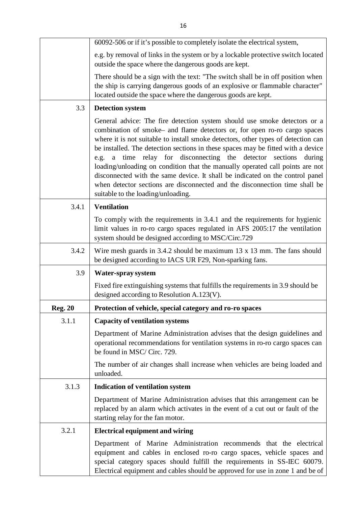|                | 60092-506 or if it's possible to completely isolate the electrical system,                                                                                                                                                                                                                                                                                                                                                                                                                                                                                                                                                                                                                       |
|----------------|--------------------------------------------------------------------------------------------------------------------------------------------------------------------------------------------------------------------------------------------------------------------------------------------------------------------------------------------------------------------------------------------------------------------------------------------------------------------------------------------------------------------------------------------------------------------------------------------------------------------------------------------------------------------------------------------------|
|                | e.g. by removal of links in the system or by a lockable protective switch located<br>outside the space where the dangerous goods are kept.                                                                                                                                                                                                                                                                                                                                                                                                                                                                                                                                                       |
|                | There should be a sign with the text: "The switch shall be in off position when<br>the ship is carrying dangerous goods of an explosive or flammable character"<br>located outside the space where the dangerous goods are kept.                                                                                                                                                                                                                                                                                                                                                                                                                                                                 |
| 3.3            | <b>Detection system</b>                                                                                                                                                                                                                                                                                                                                                                                                                                                                                                                                                                                                                                                                          |
|                | General advice: The fire detection system should use smoke detectors or a<br>combination of smoke- and flame detectors or, for open ro-ro cargo spaces<br>where it is not suitable to install smoke detectors, other types of detection can<br>be installed. The detection sections in these spaces may be fitted with a device<br>a time relay for disconnecting the detector sections<br>during<br>e.g.<br>loading/unloading on condition that the manually operated call points are not<br>disconnected with the same device. It shall be indicated on the control panel<br>when detector sections are disconnected and the disconnection time shall be<br>suitable to the loading/unloading. |
| 3.4.1          | <b>Ventilation</b>                                                                                                                                                                                                                                                                                                                                                                                                                                                                                                                                                                                                                                                                               |
|                | To comply with the requirements in 3.4.1 and the requirements for hygienic<br>limit values in ro-ro cargo spaces regulated in AFS 2005:17 the ventilation<br>system should be designed according to MSC/Circ.729                                                                                                                                                                                                                                                                                                                                                                                                                                                                                 |
| 3.4.2          | Wire mesh guards in $3.4.2$ should be maximum 13 x 13 mm. The fans should<br>be designed according to IACS UR F29, Non-sparking fans.                                                                                                                                                                                                                                                                                                                                                                                                                                                                                                                                                            |
| 3.9            | Water-spray system                                                                                                                                                                                                                                                                                                                                                                                                                                                                                                                                                                                                                                                                               |
|                | Fixed fire extinguishing systems that fulfills the requirements in 3.9 should be<br>designed according to Resolution A.123(V).                                                                                                                                                                                                                                                                                                                                                                                                                                                                                                                                                                   |
| <b>Reg. 20</b> | Protection of vehicle, special category and ro-ro spaces                                                                                                                                                                                                                                                                                                                                                                                                                                                                                                                                                                                                                                         |
| 3.1.1          | <b>Capacity of ventilation systems</b>                                                                                                                                                                                                                                                                                                                                                                                                                                                                                                                                                                                                                                                           |
|                | Department of Marine Administration advises that the design guidelines and<br>operational recommendations for ventilation systems in ro-ro cargo spaces can<br>be found in MSC/Circ. 729.                                                                                                                                                                                                                                                                                                                                                                                                                                                                                                        |
|                | The number of air changes shall increase when vehicles are being loaded and<br>unloaded.                                                                                                                                                                                                                                                                                                                                                                                                                                                                                                                                                                                                         |
| 3.1.3          | <b>Indication of ventilation system</b>                                                                                                                                                                                                                                                                                                                                                                                                                                                                                                                                                                                                                                                          |
|                | Department of Marine Administration advises that this arrangement can be<br>replaced by an alarm which activates in the event of a cut out or fault of the<br>starting relay for the fan motor.                                                                                                                                                                                                                                                                                                                                                                                                                                                                                                  |
| 3.2.1          | <b>Electrical equipment and wiring</b>                                                                                                                                                                                                                                                                                                                                                                                                                                                                                                                                                                                                                                                           |
|                | Department of Marine Administration recommends that the electrical<br>equipment and cables in enclosed ro-ro cargo spaces, vehicle spaces and<br>special category spaces should fulfill the requirements in SS-IEC 60079.<br>Electrical equipment and cables should be approved for use in zone 1 and be of                                                                                                                                                                                                                                                                                                                                                                                      |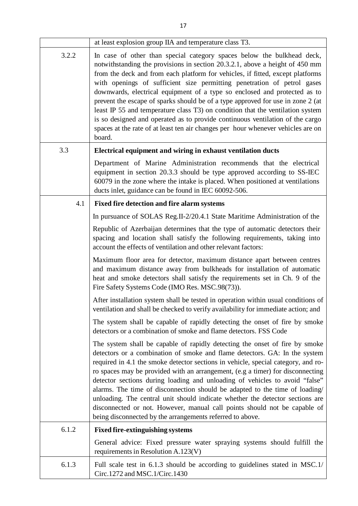|       | at least explosion group IIA and temperature class T3.                                                                                                                                                                                                                                                                                                                                                                                                                                                                                                                                                                                                                                                                                               |
|-------|------------------------------------------------------------------------------------------------------------------------------------------------------------------------------------------------------------------------------------------------------------------------------------------------------------------------------------------------------------------------------------------------------------------------------------------------------------------------------------------------------------------------------------------------------------------------------------------------------------------------------------------------------------------------------------------------------------------------------------------------------|
| 3.2.2 | In case of other than special category spaces below the bulkhead deck,<br>notwithstanding the provisions in section 20.3.2.1, above a height of 450 mm<br>from the deck and from each platform for vehicles, if fitted, except platforms<br>with openings of sufficient size permitting penetration of petrol gases<br>downwards, electrical equipment of a type so enclosed and protected as to<br>prevent the escape of sparks should be of a type approved for use in zone 2 (at<br>least IP 55 and temperature class T3) on condition that the ventilation system<br>is so designed and operated as to provide continuous ventilation of the cargo<br>spaces at the rate of at least ten air changes per hour whenever vehicles are on<br>board. |
| 3.3   | Electrical equipment and wiring in exhaust ventilation ducts                                                                                                                                                                                                                                                                                                                                                                                                                                                                                                                                                                                                                                                                                         |
|       | Department of Marine Administration recommends that the electrical<br>equipment in section 20.3.3 should be type approved according to SS-IEC<br>60079 in the zone where the intake is placed. When positioned at ventilations<br>ducts inlet, guidance can be found in IEC 60092-506.                                                                                                                                                                                                                                                                                                                                                                                                                                                               |
| 4.1   | Fixed fire detection and fire alarm systems                                                                                                                                                                                                                                                                                                                                                                                                                                                                                                                                                                                                                                                                                                          |
|       | In pursuance of SOLAS Reg.II-2/20.4.1 State Maritime Administration of the                                                                                                                                                                                                                                                                                                                                                                                                                                                                                                                                                                                                                                                                           |
|       | Republic of Azerbaijan determines that the type of automatic detectors their<br>spacing and location shall satisfy the following requirements, taking into<br>account the effects of ventilation and other relevant factors:                                                                                                                                                                                                                                                                                                                                                                                                                                                                                                                         |
|       | Maximum floor area for detector, maximum distance apart between centres<br>and maximum distance away from bulkheads for installation of automatic<br>heat and smoke detectors shall satisfy the requirements set in Ch. 9 of the<br>Fire Safety Systems Code (IMO Res. MSC.98(73)).                                                                                                                                                                                                                                                                                                                                                                                                                                                                  |
|       | After installation system shall be tested in operation within usual conditions of<br>ventilation and shall be checked to verify availability for immediate action; and                                                                                                                                                                                                                                                                                                                                                                                                                                                                                                                                                                               |
|       | The system shall be capable of rapidly detecting the onset of fire by smoke<br>detectors or a combination of smoke and flame detectors. FSS Code                                                                                                                                                                                                                                                                                                                                                                                                                                                                                                                                                                                                     |
|       | The system shall be capable of rapidly detecting the onset of fire by smoke<br>detectors or a combination of smoke and flame detectors. GA: In the system<br>required in 4.1 the smoke detector sections in vehicle, special category, and ro-<br>ro spaces may be provided with an arrangement, (e.g a timer) for disconnecting<br>detector sections during loading and unloading of vehicles to avoid "false"<br>alarms. The time of disconnection should be adapted to the time of loading/<br>unloading. The central unit should indicate whether the detector sections are<br>disconnected or not. However, manual call points should not be capable of<br>being disconnected by the arrangements referred to above.                            |
| 6.1.2 | <b>Fixed fire-extinguishing systems</b>                                                                                                                                                                                                                                                                                                                                                                                                                                                                                                                                                                                                                                                                                                              |
|       | General advice: Fixed pressure water spraying systems should fulfill the<br>requirements in Resolution A.123(V)                                                                                                                                                                                                                                                                                                                                                                                                                                                                                                                                                                                                                                      |
| 6.1.3 | Full scale test in 6.1.3 should be according to guidelines stated in MSC.1/<br>Circ.1272 and MSC.1/Circ.1430                                                                                                                                                                                                                                                                                                                                                                                                                                                                                                                                                                                                                                         |